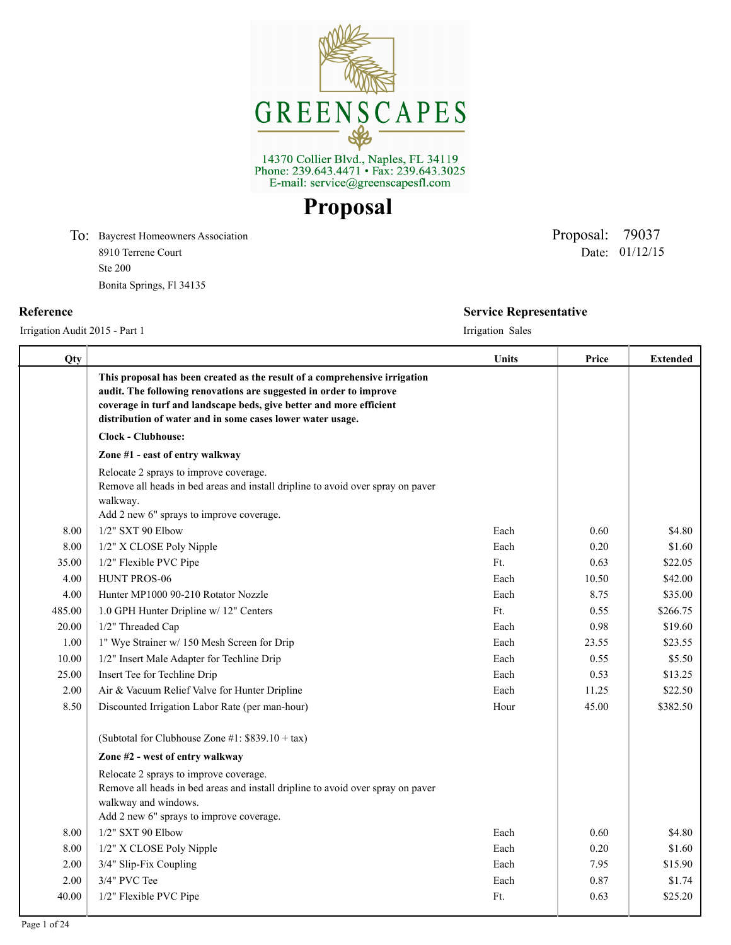

14370 Collier Blvd., Naples, FL 34119<br>Phone: 239.643.4471 • Fax: 239.643.3025<br>E-mail: service@greenscapesfl.com

**Proposal**

To: Baycrest Homeowners Association Proposal: 79037 8910 Terrene Court Ste 200 Bonita Springs, Fl 34135

Irrigation Audit 2015 - Part 1 Irrigation Sales

Date: 01/12/15

# **Reference Service Representative**

| Qty    |                                                                                                                                                                                                                                                                                       | Units | Price | <b>Extended</b> |
|--------|---------------------------------------------------------------------------------------------------------------------------------------------------------------------------------------------------------------------------------------------------------------------------------------|-------|-------|-----------------|
|        | This proposal has been created as the result of a comprehensive irrigation<br>audit. The following renovations are suggested in order to improve<br>coverage in turf and landscape beds, give better and more efficient<br>distribution of water and in some cases lower water usage. |       |       |                 |
|        | <b>Clock - Clubhouse:</b>                                                                                                                                                                                                                                                             |       |       |                 |
|        | Zone #1 - east of entry walkway                                                                                                                                                                                                                                                       |       |       |                 |
|        | Relocate 2 sprays to improve coverage.<br>Remove all heads in bed areas and install dripline to avoid over spray on paver<br>walkway.<br>Add 2 new 6" sprays to improve coverage.                                                                                                     |       |       |                 |
| 8.00   | 1/2" SXT 90 Elbow                                                                                                                                                                                                                                                                     | Each  | 0.60  | \$4.80          |
| 8.00   | 1/2" X CLOSE Poly Nipple                                                                                                                                                                                                                                                              | Each  | 0.20  | \$1.60          |
| 35.00  | 1/2" Flexible PVC Pipe                                                                                                                                                                                                                                                                | Ft.   | 0.63  | \$22.05         |
| 4.00   | HUNT PROS-06                                                                                                                                                                                                                                                                          | Each  | 10.50 | \$42.00         |
| 4.00   | Hunter MP1000 90-210 Rotator Nozzle                                                                                                                                                                                                                                                   | Each  | 8.75  | \$35.00         |
| 485.00 | 1.0 GPH Hunter Dripline w/ 12" Centers                                                                                                                                                                                                                                                | Ft.   | 0.55  | \$266.75        |
| 20.00  | 1/2" Threaded Cap                                                                                                                                                                                                                                                                     | Each  | 0.98  | \$19.60         |
| 1.00   | 1" Wye Strainer w/ 150 Mesh Screen for Drip                                                                                                                                                                                                                                           | Each  | 23.55 | \$23.55         |
| 10.00  | 1/2" Insert Male Adapter for Techline Drip                                                                                                                                                                                                                                            | Each  | 0.55  | \$5.50          |
| 25.00  | Insert Tee for Techline Drip                                                                                                                                                                                                                                                          | Each  | 0.53  | \$13.25         |
| 2.00   | Air & Vacuum Relief Valve for Hunter Dripline                                                                                                                                                                                                                                         | Each  | 11.25 | \$22.50         |
| 8.50   | Discounted Irrigation Labor Rate (per man-hour)                                                                                                                                                                                                                                       | Hour  | 45.00 | \$382.50        |
|        | (Subtotal for Clubhouse Zone #1: $$839.10 + tax$ )                                                                                                                                                                                                                                    |       |       |                 |
|        | Zone #2 - west of entry walkway                                                                                                                                                                                                                                                       |       |       |                 |
|        | Relocate 2 sprays to improve coverage.<br>Remove all heads in bed areas and install dripline to avoid over spray on paver<br>walkway and windows.                                                                                                                                     |       |       |                 |
|        | Add 2 new 6" sprays to improve coverage.                                                                                                                                                                                                                                              |       |       |                 |
| 8.00   | 1/2" SXT 90 Elbow                                                                                                                                                                                                                                                                     | Each  | 0.60  | \$4.80          |
| 8.00   | 1/2" X CLOSE Poly Nipple                                                                                                                                                                                                                                                              | Each  | 0.20  | \$1.60          |
| 2.00   | 3/4" Slip-Fix Coupling                                                                                                                                                                                                                                                                | Each  | 7.95  | \$15.90         |
| 2.00   | 3/4" PVC Tee                                                                                                                                                                                                                                                                          | Each  | 0.87  | \$1.74          |
| 40.00  | 1/2" Flexible PVC Pipe                                                                                                                                                                                                                                                                | Ft.   | 0.63  | \$25.20         |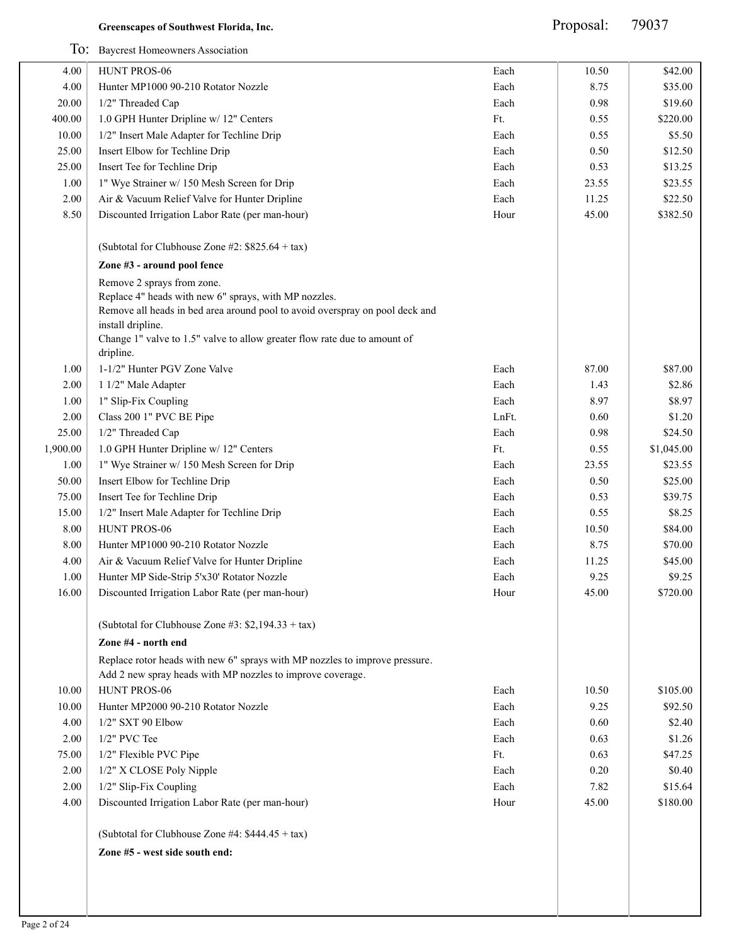Proposal: 79037

|              | To: Baycrest Homeowners Association                                                                                                       |       |              |            |
|--------------|-------------------------------------------------------------------------------------------------------------------------------------------|-------|--------------|------------|
| 4.00         | HUNT PROS-06                                                                                                                              | Each  | 10.50        | \$42.00    |
| 4.00         | Hunter MP1000 90-210 Rotator Nozzle                                                                                                       | Each  | 8.75         | \$35.00    |
| 20.00        | 1/2" Threaded Cap                                                                                                                         | Each  | 0.98         | \$19.60    |
| 400.00       | 1.0 GPH Hunter Dripline w/ 12" Centers                                                                                                    | Ft.   | 0.55         | \$220.00   |
| 10.00        | 1/2" Insert Male Adapter for Techline Drip                                                                                                | Each  | 0.55         | \$5.50     |
| 25.00        | Insert Elbow for Techline Drip                                                                                                            | Each  | 0.50         | \$12.50    |
| 25.00        | Insert Tee for Techline Drip                                                                                                              | Each  | 0.53         | \$13.25    |
| 1.00         | 1" Wye Strainer w/ 150 Mesh Screen for Drip                                                                                               | Each  | 23.55        | \$23.55    |
| 2.00         | Air & Vacuum Relief Valve for Hunter Dripline                                                                                             | Each  | 11.25        | \$22.50    |
| 8.50         | Discounted Irrigation Labor Rate (per man-hour)                                                                                           | Hour  | 45.00        | \$382.50   |
|              | (Subtotal for Clubhouse Zone #2: $$825.64 + tax$ )                                                                                        |       |              |            |
|              | Zone #3 - around pool fence                                                                                                               |       |              |            |
|              | Remove 2 sprays from zone.                                                                                                                |       |              |            |
|              | Replace 4" heads with new 6" sprays, with MP nozzles.                                                                                     |       |              |            |
|              | Remove all heads in bed area around pool to avoid overspray on pool deck and                                                              |       |              |            |
|              | install dripline.                                                                                                                         |       |              |            |
|              | Change 1" valve to 1.5" valve to allow greater flow rate due to amount of                                                                 |       |              |            |
| 1.00         | dripline.<br>1-1/2" Hunter PGV Zone Valve                                                                                                 | Each  | 87.00        | \$87.00    |
|              |                                                                                                                                           | Each  |              | \$2.86     |
| 2.00<br>1.00 | 1 1/2" Male Adapter<br>1" Slip-Fix Coupling                                                                                               | Each  | 1.43<br>8.97 | \$8.97     |
|              |                                                                                                                                           |       |              |            |
| 2.00         | Class 200 1" PVC BE Pipe                                                                                                                  | LnFt. | 0.60         | \$1.20     |
| 25.00        | 1/2" Threaded Cap                                                                                                                         | Each  | 0.98         | \$24.50    |
| 1,900.00     | 1.0 GPH Hunter Dripline w/ 12" Centers                                                                                                    | Ft.   | 0.55         | \$1,045.00 |
| 1.00         | 1" Wye Strainer w/ 150 Mesh Screen for Drip                                                                                               | Each  | 23.55        | \$23.55    |
| 50.00        | Insert Elbow for Techline Drip                                                                                                            | Each  | 0.50         | \$25.00    |
| 75.00        | Insert Tee for Techline Drip                                                                                                              | Each  | 0.53         | \$39.75    |
| 15.00        | 1/2" Insert Male Adapter for Techline Drip                                                                                                | Each  | 0.55         | \$8.25     |
| 8.00         | HUNT PROS-06                                                                                                                              | Each  | 10.50        | \$84.00    |
| 8.00         | Hunter MP1000 90-210 Rotator Nozzle                                                                                                       | Each  | 8.75         | \$70.00    |
| 4.00         | Air & Vacuum Relief Valve for Hunter Dripline                                                                                             | Each  | 11.25        | \$45.00    |
| $1.00\,$     | Hunter MP Side-Strip 5'x30' Rotator Nozzle                                                                                                | Each  | 9.25         | \$9.25     |
| 16.00        | Discounted Irrigation Labor Rate (per man-hour)                                                                                           | Hour  | 45.00        | \$720.00   |
|              | (Subtotal for Clubhouse Zone #3: $$2,194.33 + tax$ )                                                                                      |       |              |            |
|              | Zone #4 - north end                                                                                                                       |       |              |            |
|              | Replace rotor heads with new 6" sprays with MP nozzles to improve pressure.<br>Add 2 new spray heads with MP nozzles to improve coverage. |       |              |            |
|              | HUNT PROS-06                                                                                                                              | Each  | 10.50        | \$105.00   |
| 10.00        |                                                                                                                                           |       |              |            |
| 10.00        | Hunter MP2000 90-210 Rotator Nozzle                                                                                                       | Each  | 9.25         | \$92.50    |
| 4.00         | 1/2" SXT 90 Elbow                                                                                                                         | Each  | 0.60         | \$2.40     |
| 2.00         | 1/2" PVC Tee                                                                                                                              | Each  | 0.63         | \$1.26     |
| 75.00        | 1/2" Flexible PVC Pipe                                                                                                                    | Ft.   | 0.63         | \$47.25    |
| 2.00         | 1/2" X CLOSE Poly Nipple                                                                                                                  | Each  | 0.20         | \$0.40     |
| 2.00         | 1/2" Slip-Fix Coupling                                                                                                                    | Each  | 7.82         | \$15.64    |
| 4.00         | Discounted Irrigation Labor Rate (per man-hour)                                                                                           | Hour  | 45.00        | \$180.00   |
|              | (Subtotal for Clubhouse Zone #4: $$444.45 + tax$ )                                                                                        |       |              |            |
|              | Zone #5 - west side south end:                                                                                                            |       |              |            |
|              |                                                                                                                                           |       |              |            |
|              |                                                                                                                                           |       |              |            |
|              |                                                                                                                                           |       |              |            |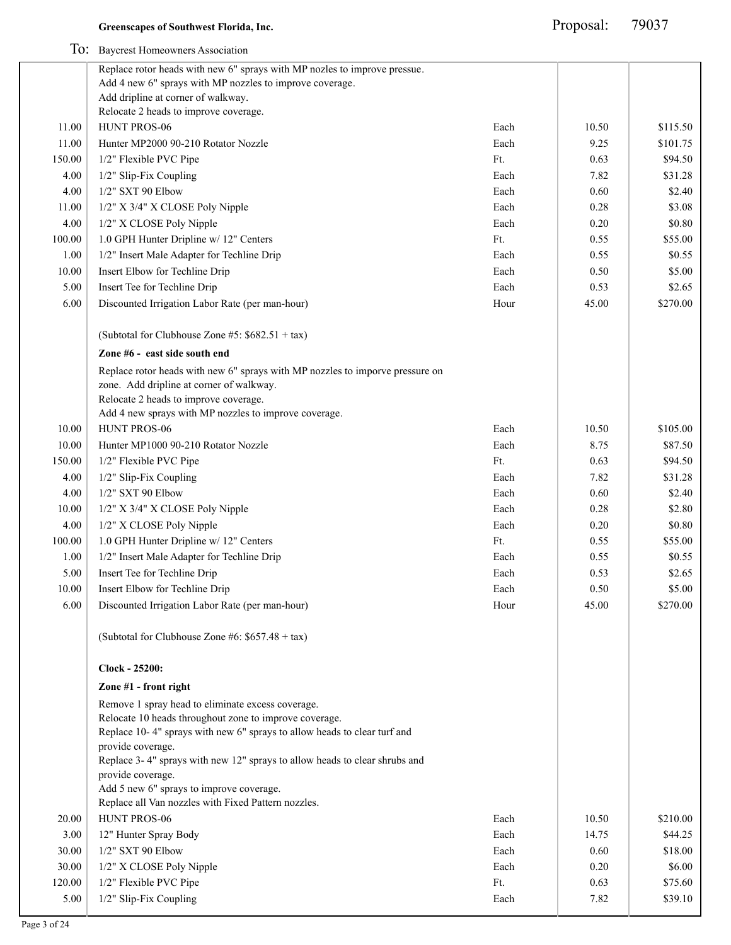|        | To: Baycrest Homeowners Association                                                                                       |      |       |          |
|--------|---------------------------------------------------------------------------------------------------------------------------|------|-------|----------|
|        | Replace rotor heads with new 6" sprays with MP nozles to improve pressue.                                                 |      |       |          |
|        | Add 4 new 6" sprays with MP nozzles to improve coverage.                                                                  |      |       |          |
|        | Add dripline at corner of walkway.                                                                                        |      |       |          |
|        | Relocate 2 heads to improve coverage.                                                                                     |      |       |          |
| 11.00  | HUNT PROS-06                                                                                                              | Each | 10.50 | \$115.50 |
| 11.00  | Hunter MP2000 90-210 Rotator Nozzle                                                                                       | Each | 9.25  | \$101.75 |
| 150.00 | 1/2" Flexible PVC Pipe                                                                                                    | Ft.  | 0.63  | \$94.50  |
| 4.00   | 1/2" Slip-Fix Coupling                                                                                                    | Each | 7.82  | \$31.28  |
| 4.00   | 1/2" SXT 90 Elbow                                                                                                         | Each | 0.60  | \$2.40   |
| 11.00  | 1/2" X 3/4" X CLOSE Poly Nipple                                                                                           | Each | 0.28  | \$3.08   |
| 4.00   | 1/2" X CLOSE Poly Nipple                                                                                                  | Each | 0.20  | \$0.80   |
| 100.00 | 1.0 GPH Hunter Dripline w/ 12" Centers                                                                                    | Ft.  | 0.55  | \$55.00  |
| 1.00   | 1/2" Insert Male Adapter for Techline Drip                                                                                | Each | 0.55  | \$0.55   |
| 10.00  | Insert Elbow for Techline Drip                                                                                            | Each | 0.50  | \$5.00   |
| 5.00   | Insert Tee for Techline Drip                                                                                              | Each | 0.53  | \$2.65   |
| 6.00   | Discounted Irrigation Labor Rate (per man-hour)                                                                           | Hour | 45.00 | \$270.00 |
|        | (Subtotal for Clubhouse Zone #5: $$682.51 + tax$$ )                                                                       |      |       |          |
|        | Zone #6 - east side south end                                                                                             |      |       |          |
|        | Replace rotor heads with new 6" sprays with MP nozzles to imporve pressure on<br>zone. Add dripline at corner of walkway. |      |       |          |
|        | Relocate 2 heads to improve coverage.                                                                                     |      |       |          |
|        | Add 4 new sprays with MP nozzles to improve coverage.                                                                     |      |       |          |
| 10.00  | HUNT PROS-06                                                                                                              | Each | 10.50 | \$105.00 |
| 10.00  | Hunter MP1000 90-210 Rotator Nozzle                                                                                       | Each | 8.75  | \$87.50  |
| 150.00 | 1/2" Flexible PVC Pipe                                                                                                    | Ft.  | 0.63  | \$94.50  |
| 4.00   | 1/2" Slip-Fix Coupling                                                                                                    | Each | 7.82  | \$31.28  |
| 4.00   | 1/2" SXT 90 Elbow                                                                                                         | Each | 0.60  | \$2.40   |
| 10.00  | 1/2" X 3/4" X CLOSE Poly Nipple                                                                                           | Each | 0.28  | \$2.80   |
| 4.00   | 1/2" X CLOSE Poly Nipple                                                                                                  | Each | 0.20  | \$0.80   |
| 100.00 | 1.0 GPH Hunter Dripline w/ 12" Centers                                                                                    | Ft.  | 0.55  | \$55.00  |
| 1.00   | 1/2" Insert Male Adapter for Techline Drip                                                                                | Each | 0.55  | \$0.55   |
| 5.00   | Insert Tee for Techline Drip                                                                                              | Each | 0.53  | \$2.65   |
| 10.00  | Insert Elbow for Techline Drip                                                                                            | Each | 0.50  | \$5.00   |
| 6.00   | Discounted Irrigation Labor Rate (per man-hour)                                                                           | Hour | 45.00 | \$270.00 |
|        | (Subtotal for Clubhouse Zone #6: $$657.48 + tax$ )                                                                        |      |       |          |
|        | Clock - 25200:                                                                                                            |      |       |          |
|        | Zone #1 - front right                                                                                                     |      |       |          |
|        | Remove 1 spray head to eliminate excess coverage.                                                                         |      |       |          |
|        | Relocate 10 heads throughout zone to improve coverage.                                                                    |      |       |          |
|        | Replace 10-4" sprays with new 6" sprays to allow heads to clear turf and                                                  |      |       |          |
|        | provide coverage.                                                                                                         |      |       |          |
|        | Replace 3-4" sprays with new 12" sprays to allow heads to clear shrubs and<br>provide coverage.                           |      |       |          |
|        | Add 5 new 6" sprays to improve coverage.                                                                                  |      |       |          |
|        | Replace all Van nozzles with Fixed Pattern nozzles.                                                                       |      |       |          |
| 20.00  | HUNT PROS-06                                                                                                              | Each | 10.50 | \$210.00 |
| 3.00   | 12" Hunter Spray Body                                                                                                     | Each | 14.75 | \$44.25  |
| 30.00  | 1/2" SXT 90 Elbow                                                                                                         | Each | 0.60  | \$18.00  |
| 30.00  | 1/2" X CLOSE Poly Nipple                                                                                                  | Each | 0.20  | \$6.00   |
| 120.00 | 1/2" Flexible PVC Pipe                                                                                                    | Ft.  | 0.63  | \$75.60  |
| 5.00   | 1/2" Slip-Fix Coupling                                                                                                    | Each | 7.82  | \$39.10  |
|        |                                                                                                                           |      |       |          |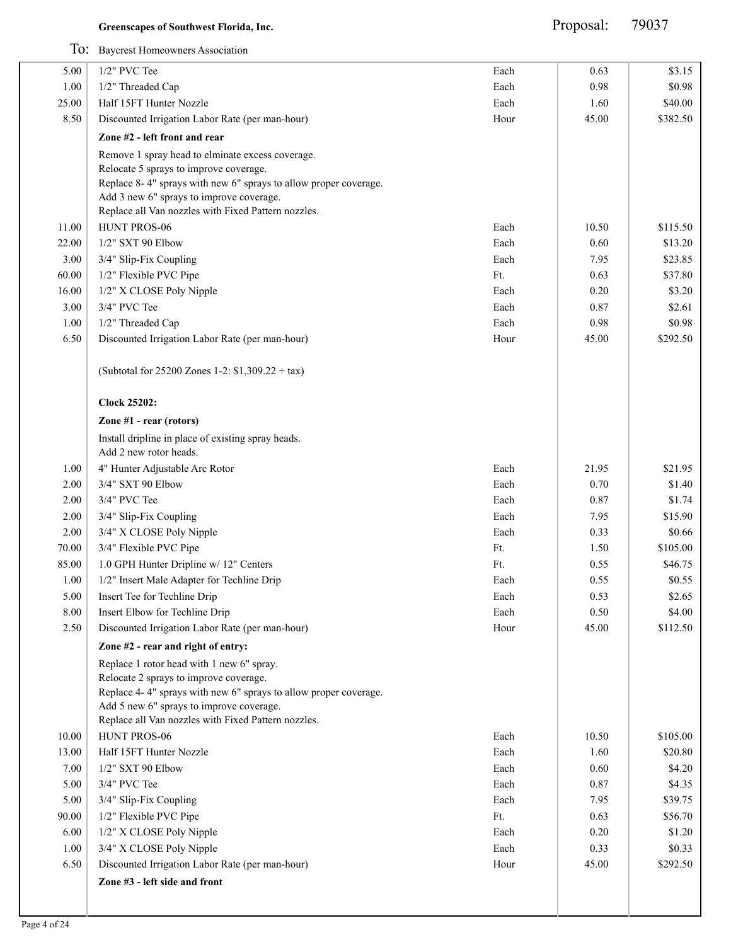|          | To: Baycrest Homeowners Association                                          |      |       |          |
|----------|------------------------------------------------------------------------------|------|-------|----------|
| 5.00     | $1/2$ " PVC Tee                                                              | Each | 0.63  | \$3.15   |
| $1.00\,$ | 1/2" Threaded Cap                                                            | Each | 0.98  | \$0.98   |
| 25.00    | Half 15FT Hunter Nozzle                                                      | Each | 1.60  | \$40.00  |
| 8.50     | Discounted Irrigation Labor Rate (per man-hour)                              | Hour | 45.00 | \$382.50 |
|          | Zone #2 - left front and rear                                                |      |       |          |
|          | Remove 1 spray head to elminate excess coverage.                             |      |       |          |
|          | Relocate 5 sprays to improve coverage.                                       |      |       |          |
|          | Replace 8-4" sprays with new 6" sprays to allow proper coverage.             |      |       |          |
|          | Add 3 new 6" sprays to improve coverage.                                     |      |       |          |
|          | Replace all Van nozzles with Fixed Pattern nozzles.                          |      |       |          |
| 11.00    | HUNT PROS-06                                                                 | Each | 10.50 | \$115.50 |
| 22.00    | 1/2" SXT 90 Elbow                                                            | Each | 0.60  | \$13.20  |
| 3.00     | 3/4" Slip-Fix Coupling                                                       | Each | 7.95  | \$23.85  |
| 60.00    | 1/2" Flexible PVC Pipe                                                       | Ft.  | 0.63  | \$37.80  |
| 16.00    | 1/2" X CLOSE Poly Nipple                                                     | Each | 0.20  | \$3.20   |
| 3.00     | 3/4" PVC Tee                                                                 | Each | 0.87  | \$2.61   |
| 1.00     | 1/2" Threaded Cap                                                            | Each | 0.98  | \$0.98   |
| 6.50     | Discounted Irrigation Labor Rate (per man-hour)                              | Hour | 45.00 | \$292.50 |
|          | (Subtotal for 25200 Zones 1-2: $$1,309.22 + tax$ )                           |      |       |          |
|          | <b>Clock 25202:</b>                                                          |      |       |          |
|          | Zone #1 - rear (rotors)                                                      |      |       |          |
|          | Install dripline in place of existing spray heads.<br>Add 2 new rotor heads. |      |       |          |
| 1.00     | 4" Hunter Adjustable Arc Rotor                                               | Each | 21.95 | \$21.95  |
| 2.00     | 3/4" SXT 90 Elbow                                                            | Each | 0.70  | \$1.40   |
| 2.00     | 3/4" PVC Tee                                                                 | Each | 0.87  | \$1.74   |
| 2.00     | 3/4" Slip-Fix Coupling                                                       | Each | 7.95  | \$15.90  |
| 2.00     | 3/4" X CLOSE Poly Nipple                                                     | Each | 0.33  | \$0.66   |
| 70.00    | 3/4" Flexible PVC Pipe                                                       | Ft.  | 1.50  | \$105.00 |
| 85.00    | 1.0 GPH Hunter Dripline w/ 12" Centers                                       | Ft.  | 0.55  | \$46.75  |
| 1.00     | 1/2" Insert Male Adapter for Techline Drip                                   | Each | 0.55  | \$0.55   |
| 5.00     | Insert Tee for Techline Drip                                                 | Each | 0.53  | \$2.65   |
| $8.00\,$ | Insert Elbow for Techline Drip                                               | Each | 0.50  | \$4.00   |
| 2.50     | Discounted Irrigation Labor Rate (per man-hour)                              | Hour | 45.00 | \$112.50 |
|          | Zone #2 - rear and right of entry:                                           |      |       |          |
|          | Replace 1 rotor head with 1 new 6" spray.                                    |      |       |          |
|          | Relocate 2 sprays to improve coverage.                                       |      |       |          |
|          | Replace 4-4" sprays with new 6" sprays to allow proper coverage.             |      |       |          |
|          | Add 5 new 6" sprays to improve coverage.                                     |      |       |          |
|          | Replace all Van nozzles with Fixed Pattern nozzles.                          |      |       |          |
| 10.00    | HUNT PROS-06                                                                 | Each | 10.50 | \$105.00 |
| 13.00    | Half 15FT Hunter Nozzle                                                      | Each | 1.60  | \$20.80  |
| 7.00     | 1/2" SXT 90 Elbow                                                            | Each | 0.60  | \$4.20   |
| 5.00     | 3/4" PVC Tee                                                                 | Each | 0.87  | \$4.35   |
| 5.00     | 3/4" Slip-Fix Coupling                                                       | Each | 7.95  | \$39.75  |
| 90.00    | 1/2" Flexible PVC Pipe                                                       | Ft.  | 0.63  | \$56.70  |
| 6.00     | 1/2" X CLOSE Poly Nipple                                                     | Each | 0.20  | \$1.20   |
| 1.00     | 3/4" X CLOSE Poly Nipple                                                     | Each | 0.33  | \$0.33   |
| 6.50     | Discounted Irrigation Labor Rate (per man-hour)                              | Hour | 45.00 | \$292.50 |
|          | Zone #3 - left side and front                                                |      |       |          |
|          |                                                                              |      |       |          |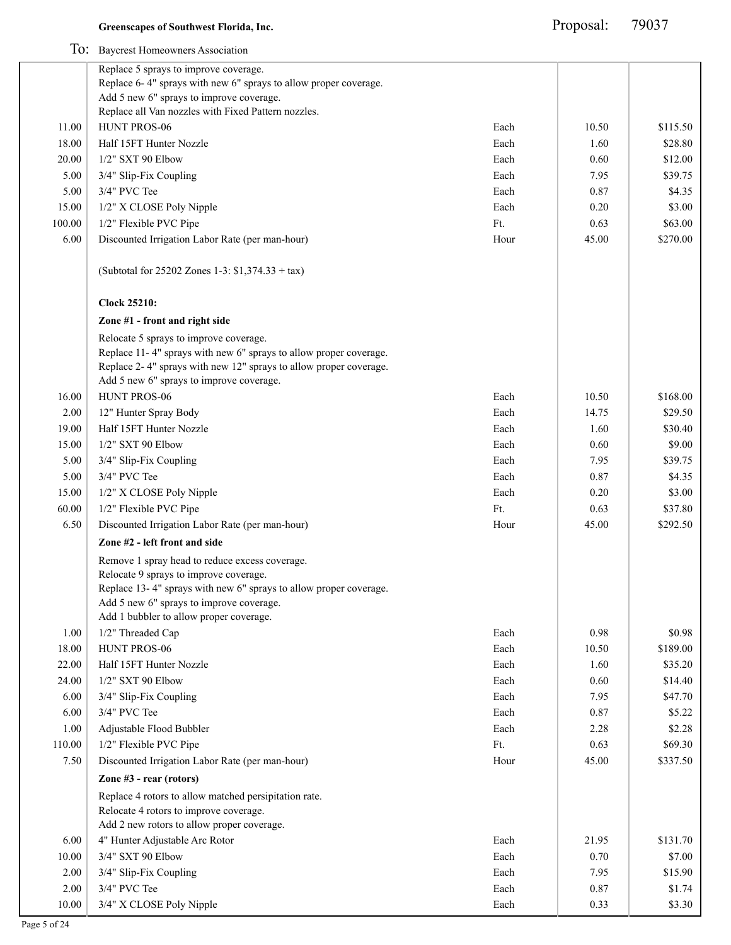|        | 10. Davelest Homeo where I Resource                                                                           |      |       |          |
|--------|---------------------------------------------------------------------------------------------------------------|------|-------|----------|
|        | Replace 5 sprays to improve coverage.                                                                         |      |       |          |
|        | Replace 6-4" sprays with new 6" sprays to allow proper coverage.<br>Add 5 new 6" sprays to improve coverage.  |      |       |          |
|        | Replace all Van nozzles with Fixed Pattern nozzles.                                                           |      |       |          |
| 11.00  | HUNT PROS-06                                                                                                  | Each | 10.50 | \$115.50 |
| 18.00  | Half 15FT Hunter Nozzle                                                                                       | Each | 1.60  | \$28.80  |
| 20.00  | 1/2" SXT 90 Elbow                                                                                             | Each | 0.60  | \$12.00  |
| 5.00   | 3/4" Slip-Fix Coupling                                                                                        | Each | 7.95  | \$39.75  |
| 5.00   | 3/4" PVC Tee                                                                                                  | Each | 0.87  | \$4.35   |
| 15.00  | 1/2" X CLOSE Poly Nipple                                                                                      | Each | 0.20  | \$3.00   |
| 100.00 | 1/2" Flexible PVC Pipe                                                                                        | Ft.  | 0.63  | \$63.00  |
| 6.00   | Discounted Irrigation Labor Rate (per man-hour)                                                               | Hour | 45.00 | \$270.00 |
|        |                                                                                                               |      |       |          |
|        | (Subtotal for 25202 Zones 1-3: \$1,374.33 + tax)                                                              |      |       |          |
|        | <b>Clock 25210:</b><br>Zone #1 - front and right side                                                         |      |       |          |
|        | Relocate 5 sprays to improve coverage.                                                                        |      |       |          |
|        | Replace 11-4" sprays with new 6" sprays to allow proper coverage.                                             |      |       |          |
|        | Replace 2-4" sprays with new 12" sprays to allow proper coverage.<br>Add 5 new 6" sprays to improve coverage. |      |       |          |
| 16.00  | HUNT PROS-06                                                                                                  | Each | 10.50 | \$168.00 |
| 2.00   | 12" Hunter Spray Body                                                                                         | Each | 14.75 | \$29.50  |
| 19.00  | Half 15FT Hunter Nozzle                                                                                       | Each | 1.60  | \$30.40  |
| 15.00  | 1/2" SXT 90 Elbow                                                                                             | Each | 0.60  | \$9.00   |
| 5.00   | 3/4" Slip-Fix Coupling                                                                                        | Each | 7.95  | \$39.75  |
| 5.00   | 3/4" PVC Tee                                                                                                  | Each | 0.87  | \$4.35   |
| 15.00  | 1/2" X CLOSE Poly Nipple                                                                                      | Each | 0.20  | \$3.00   |
| 60.00  | 1/2" Flexible PVC Pipe                                                                                        | Ft.  | 0.63  | \$37.80  |
|        |                                                                                                               |      | 45.00 | \$292.50 |
| 6.50   | Discounted Irrigation Labor Rate (per man-hour)                                                               | Hour |       |          |
|        | Zone #2 - left front and side                                                                                 |      |       |          |
|        | Remove 1 spray head to reduce excess coverage.<br>Relocate 9 sprays to improve coverage.                      |      |       |          |
|        | Replace 13-4" sprays with new 6" sprays to allow proper coverage.                                             |      |       |          |
|        | Add 5 new 6" sprays to improve coverage.                                                                      |      |       |          |
|        | Add 1 bubbler to allow proper coverage.                                                                       |      |       |          |
| 1.00   | 1/2" Threaded Cap                                                                                             | Each | 0.98  | \$0.98   |
| 18.00  | HUNT PROS-06                                                                                                  | Each | 10.50 | \$189.00 |
| 22.00  | Half 15FT Hunter Nozzle                                                                                       | Each | 1.60  | \$35.20  |
| 24.00  | 1/2" SXT 90 Elbow                                                                                             | Each | 0.60  | \$14.40  |
| 6.00   | 3/4" Slip-Fix Coupling                                                                                        | Each | 7.95  | \$47.70  |
| 6.00   | 3/4" PVC Tee                                                                                                  | Each | 0.87  | \$5.22   |
| 1.00   | Adjustable Flood Bubbler                                                                                      | Each | 2.28  | \$2.28   |
| 110.00 | 1/2" Flexible PVC Pipe                                                                                        | Ft.  | 0.63  | \$69.30  |
| 7.50   | Discounted Irrigation Labor Rate (per man-hour)                                                               | Hour | 45.00 | \$337.50 |
|        | Zone #3 - rear (rotors)                                                                                       |      |       |          |
|        | Replace 4 rotors to allow matched persipitation rate.                                                         |      |       |          |
|        | Relocate 4 rotors to improve coverage.<br>Add 2 new rotors to allow proper coverage.                          |      |       |          |
| 6.00   | 4" Hunter Adjustable Arc Rotor                                                                                | Each | 21.95 | \$131.70 |
| 10.00  | 3/4" SXT 90 Elbow                                                                                             | Each | 0.70  | \$7.00   |
| 2.00   | 3/4" Slip-Fix Coupling                                                                                        | Each | 7.95  | \$15.90  |
| 2.00   | 3/4" PVC Tee                                                                                                  | Each | 0.87  | \$1.74   |
| 10.00  | 3/4" X CLOSE Poly Nipple                                                                                      | Each | 0.33  | \$3.30   |
|        |                                                                                                               |      |       |          |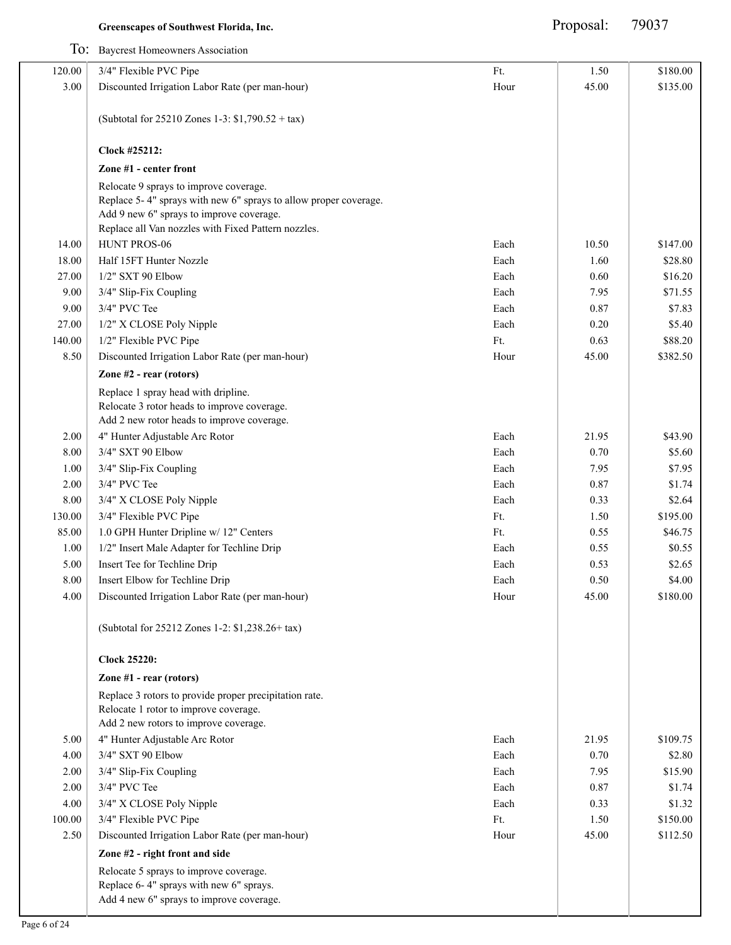| To: Baycrest Homeowners Association                                                                                                                                                                           |                                |       |          |
|---------------------------------------------------------------------------------------------------------------------------------------------------------------------------------------------------------------|--------------------------------|-------|----------|
| 3/4" Flexible PVC Pipe                                                                                                                                                                                        | Ft.                            | 1.50  | \$180.00 |
| Discounted Irrigation Labor Rate (per man-hour)                                                                                                                                                               | Hour                           | 45.00 | \$135.00 |
| (Subtotal for 25210 Zones 1-3: \$1,790.52 + tax)                                                                                                                                                              |                                |       |          |
| Clock #25212:                                                                                                                                                                                                 |                                |       |          |
| Zone #1 - center front                                                                                                                                                                                        |                                |       |          |
| Relocate 9 sprays to improve coverage.<br>Replace 5-4" sprays with new 6" sprays to allow proper coverage.<br>Add 9 new 6" sprays to improve coverage.<br>Replace all Van nozzles with Fixed Pattern nozzles. |                                |       |          |
| HUNT PROS-06                                                                                                                                                                                                  | Each                           | 10.50 | \$147.00 |
| Half 15FT Hunter Nozzle                                                                                                                                                                                       | Each                           | 1.60  | \$28.80  |
| 1/2" SXT 90 Elbow                                                                                                                                                                                             | Each                           | 0.60  | \$16.20  |
| 3/4" Slip-Fix Coupling                                                                                                                                                                                        | Each                           | 7.95  | \$71.55  |
| 3/4" PVC Tee                                                                                                                                                                                                  | Each                           | 0.87  | \$7.83   |
| 1/2" X CLOSE Poly Nipple                                                                                                                                                                                      | Each                           | 0.20  | \$5.40   |
| 1/2" Flexible PVC Pipe                                                                                                                                                                                        | Ft.                            | 0.63  | \$88.20  |
| Discounted Irrigation Labor Rate (per man-hour)                                                                                                                                                               | Hour                           | 45.00 | \$382.50 |
| Zone #2 - rear (rotors)                                                                                                                                                                                       |                                |       |          |
| Replace 1 spray head with dripline.<br>Relocate 3 rotor heads to improve coverage.<br>Add 2 new rotor heads to improve coverage.                                                                              |                                |       |          |
| 4" Hunter Adjustable Arc Rotor                                                                                                                                                                                | Each                           | 21.95 | \$43.90  |
| 3/4" SXT 90 Elbow                                                                                                                                                                                             | Each                           | 0.70  | \$5.60   |
| 3/4" Slip-Fix Coupling                                                                                                                                                                                        | Each                           | 7.95  | \$7.95   |
| 3/4" PVC Tee                                                                                                                                                                                                  | Each                           | 0.87  | \$1.74   |
| 3/4" X CLOSE Poly Nipple                                                                                                                                                                                      | Each                           | 0.33  | \$2.64   |
| 3/4" Flexible PVC Pipe                                                                                                                                                                                        | Ft.                            | 1.50  | \$195.00 |
| 1.0 GPH Hunter Dripline w/ 12" Centers                                                                                                                                                                        | Ft.                            | 0.55  | \$46.75  |
| 1/2" Insert Male Adapter for Techline Drip                                                                                                                                                                    | Each                           | 0.55  | \$0.55   |
| Insert Tee for Techline Drip                                                                                                                                                                                  | Each                           | 0.53  | \$2.65   |
|                                                                                                                                                                                                               | Each                           |       | \$4.00   |
| Discounted Irrigation Labor Rate (per man-hour)                                                                                                                                                               | Hour                           | 45.00 | \$180.00 |
| (Subtotal for 25212 Zones 1-2: \$1,238.26+ tax)                                                                                                                                                               |                                |       |          |
| <b>Clock 25220:</b>                                                                                                                                                                                           |                                |       |          |
| Zone #1 - rear (rotors)                                                                                                                                                                                       |                                |       |          |
| Replace 3 rotors to provide proper precipitation rate.<br>Relocate 1 rotor to improve coverage.<br>Add 2 new rotors to improve coverage.                                                                      |                                |       |          |
| 4" Hunter Adjustable Arc Rotor                                                                                                                                                                                | Each                           | 21.95 | \$109.75 |
| 3/4" SXT 90 Elbow                                                                                                                                                                                             | Each                           | 0.70  | \$2.80   |
| 3/4" Slip-Fix Coupling                                                                                                                                                                                        | Each                           | 7.95  | \$15.90  |
| 3/4" PVC Tee                                                                                                                                                                                                  | Each                           | 0.87  | \$1.74   |
| 3/4" X CLOSE Poly Nipple                                                                                                                                                                                      | Each                           | 0.33  | \$1.32   |
| 3/4" Flexible PVC Pipe                                                                                                                                                                                        | Ft.                            | 1.50  | \$150.00 |
| Discounted Irrigation Labor Rate (per man-hour)                                                                                                                                                               | Hour                           | 45.00 | \$112.50 |
| Zone #2 - right front and side                                                                                                                                                                                |                                |       |          |
| Relocate 5 sprays to improve coverage.<br>Replace 6-4" sprays with new 6" sprays.<br>Add 4 new 6" sprays to improve coverage.                                                                                 |                                |       |          |
|                                                                                                                                                                                                               | Insert Elbow for Techline Drip |       | 0.50     |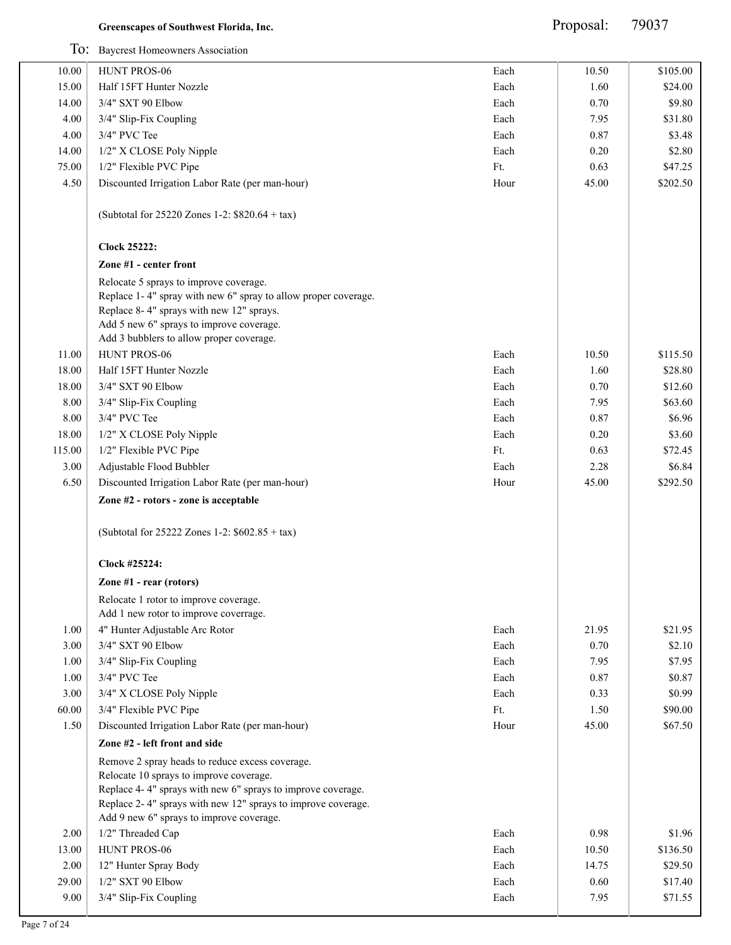|        | To: Baycrest Homeowners Association                            |      |       |          |
|--------|----------------------------------------------------------------|------|-------|----------|
| 10.00  | HUNT PROS-06                                                   | Each | 10.50 | \$105.00 |
| 15.00  | Half 15FT Hunter Nozzle                                        | Each | 1.60  | \$24.00  |
| 14.00  | 3/4" SXT 90 Elbow                                              | Each | 0.70  | \$9.80   |
| 4.00   | 3/4" Slip-Fix Coupling                                         | Each | 7.95  | \$31.80  |
| 4.00   | 3/4" PVC Tee                                                   | Each | 0.87  | \$3.48   |
| 14.00  | 1/2" X CLOSE Poly Nipple                                       | Each | 0.20  | \$2.80   |
| 75.00  | 1/2" Flexible PVC Pipe                                         | Ft.  | 0.63  | \$47.25  |
| 4.50   | Discounted Irrigation Labor Rate (per man-hour)                | Hour | 45.00 | \$202.50 |
|        |                                                                |      |       |          |
|        | (Subtotal for 25220 Zones 1-2: \$820.64 + tax)                 |      |       |          |
|        | <b>Clock 25222:</b>                                            |      |       |          |
|        | Zone #1 - center front                                         |      |       |          |
|        | Relocate 5 sprays to improve coverage.                         |      |       |          |
|        | Replace 1-4" spray with new 6" spray to allow proper coverage. |      |       |          |
|        | Replace 8-4" sprays with new 12" sprays.                       |      |       |          |
|        | Add 5 new 6" sprays to improve coverage.                       |      |       |          |
|        | Add 3 bubblers to allow proper coverage.                       |      |       |          |
| 11.00  | HUNT PROS-06                                                   | Each | 10.50 | \$115.50 |
| 18.00  | Half 15FT Hunter Nozzle                                        | Each | 1.60  | \$28.80  |
| 18.00  | 3/4" SXT 90 Elbow                                              | Each | 0.70  | \$12.60  |
| 8.00   | 3/4" Slip-Fix Coupling                                         | Each | 7.95  | \$63.60  |
| 8.00   | 3/4" PVC Tee                                                   | Each | 0.87  | \$6.96   |
| 18.00  | 1/2" X CLOSE Poly Nipple                                       | Each | 0.20  | \$3.60   |
| 115.00 | 1/2" Flexible PVC Pipe                                         | Ft.  | 0.63  | \$72.45  |
| 3.00   | Adjustable Flood Bubbler                                       | Each | 2.28  | \$6.84   |
| 6.50   | Discounted Irrigation Labor Rate (per man-hour)                | Hour | 45.00 | \$292.50 |
|        | Zone #2 - rotors - zone is acceptable                          |      |       |          |
|        | (Subtotal for 25222 Zones 1-2: \$602.85 + tax)                 |      |       |          |
|        | Clock #25224:                                                  |      |       |          |
|        | Zone #1 - rear (rotors)                                        |      |       |          |
|        | Relocate 1 rotor to improve coverage.                          |      |       |          |
|        | Add 1 new rotor to improve coverrage.                          |      |       |          |
| 1.00   | 4" Hunter Adjustable Arc Rotor                                 | Each | 21.95 | \$21.95  |
| 3.00   | 3/4" SXT 90 Elbow                                              | Each | 0.70  | \$2.10   |
| 1.00   | 3/4" Slip-Fix Coupling                                         | Each | 7.95  | \$7.95   |
| 1.00   | 3/4" PVC Tee                                                   | Each | 0.87  | \$0.87   |
| 3.00   | 3/4" X CLOSE Poly Nipple                                       | Each | 0.33  | \$0.99   |
| 60.00  | 3/4" Flexible PVC Pipe                                         | Ft.  | 1.50  | \$90.00  |
| 1.50   | Discounted Irrigation Labor Rate (per man-hour)                | Hour | 45.00 | \$67.50  |
|        | Zone #2 - left front and side                                  |      |       |          |
|        | Remove 2 spray heads to reduce excess coverage.                |      |       |          |
|        | Relocate 10 sprays to improve coverage.                        |      |       |          |
|        | Replace 4-4" sprays with new 6" sprays to improve coverage.    |      |       |          |
|        | Replace 2-4" sprays with new 12" sprays to improve coverage.   |      |       |          |
|        | Add 9 new 6" sprays to improve coverage.                       |      |       |          |
| 2.00   | 1/2" Threaded Cap                                              | Each | 0.98  | \$1.96   |
| 13.00  | HUNT PROS-06                                                   | Each | 10.50 | \$136.50 |
| 2.00   | 12" Hunter Spray Body                                          | Each | 14.75 | \$29.50  |
| 29.00  | 1/2" SXT 90 Elbow                                              | Each | 0.60  | \$17.40  |
| 9.00   | 3/4" Slip-Fix Coupling                                         | Each | 7.95  | \$71.55  |
|        |                                                                |      |       |          |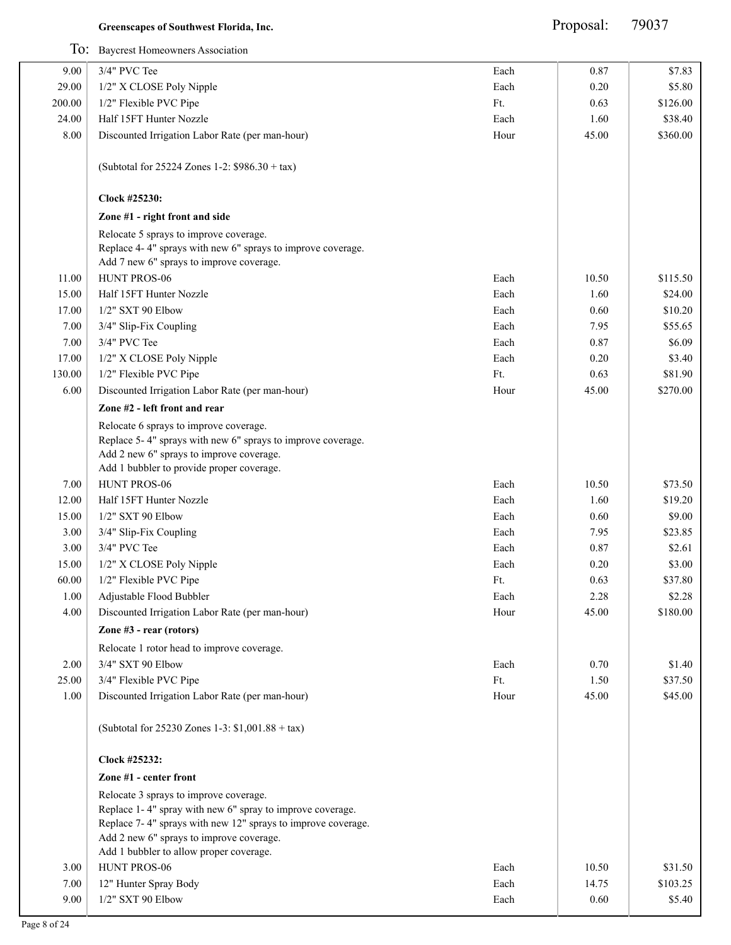|        | To: Baycrest Homeowners Association                                                                                                                                                                                                                        |      |       |          |
|--------|------------------------------------------------------------------------------------------------------------------------------------------------------------------------------------------------------------------------------------------------------------|------|-------|----------|
| 9.00   | 3/4" PVC Tee                                                                                                                                                                                                                                               | Each | 0.87  | \$7.83   |
| 29.00  | 1/2" X CLOSE Poly Nipple                                                                                                                                                                                                                                   | Each | 0.20  | \$5.80   |
| 200.00 | 1/2" Flexible PVC Pipe                                                                                                                                                                                                                                     | Ft.  | 0.63  | \$126.00 |
| 24.00  | Half 15FT Hunter Nozzle                                                                                                                                                                                                                                    | Each | 1.60  | \$38.40  |
| 8.00   | Discounted Irrigation Labor Rate (per man-hour)                                                                                                                                                                                                            | Hour | 45.00 | \$360.00 |
|        | (Subtotal for 25224 Zones 1-2: \$986.30 + tax)                                                                                                                                                                                                             |      |       |          |
|        | Clock #25230:                                                                                                                                                                                                                                              |      |       |          |
|        | Zone #1 - right front and side                                                                                                                                                                                                                             |      |       |          |
|        | Relocate 5 sprays to improve coverage.<br>Replace 4-4" sprays with new 6" sprays to improve coverage.<br>Add 7 new 6" sprays to improve coverage.                                                                                                          |      |       |          |
| 11.00  | HUNT PROS-06                                                                                                                                                                                                                                               | Each | 10.50 | \$115.50 |
| 15.00  | Half 15FT Hunter Nozzle                                                                                                                                                                                                                                    | Each | 1.60  | \$24.00  |
| 17.00  | 1/2" SXT 90 Elbow                                                                                                                                                                                                                                          | Each | 0.60  | \$10.20  |
| 7.00   | 3/4" Slip-Fix Coupling                                                                                                                                                                                                                                     | Each | 7.95  | \$55.65  |
| 7.00   | 3/4" PVC Tee                                                                                                                                                                                                                                               | Each | 0.87  | \$6.09   |
| 17.00  | 1/2" X CLOSE Poly Nipple                                                                                                                                                                                                                                   | Each | 0.20  | \$3.40   |
| 130.00 | 1/2" Flexible PVC Pipe                                                                                                                                                                                                                                     | Ft.  | 0.63  | \$81.90  |
| 6.00   | Discounted Irrigation Labor Rate (per man-hour)                                                                                                                                                                                                            | Hour | 45.00 | \$270.00 |
|        | Zone #2 - left front and rear                                                                                                                                                                                                                              |      |       |          |
|        | Relocate 6 sprays to improve coverage.<br>Replace 5-4" sprays with new 6" sprays to improve coverage.<br>Add 2 new 6" sprays to improve coverage.<br>Add 1 bubbler to provide proper coverage.                                                             |      |       |          |
| 7.00   | HUNT PROS-06                                                                                                                                                                                                                                               | Each | 10.50 | \$73.50  |
| 12.00  | Half 15FT Hunter Nozzle                                                                                                                                                                                                                                    | Each | 1.60  | \$19.20  |
| 15.00  | 1/2" SXT 90 Elbow                                                                                                                                                                                                                                          | Each | 0.60  | \$9.00   |
| 3.00   | 3/4" Slip-Fix Coupling                                                                                                                                                                                                                                     | Each | 7.95  | \$23.85  |
| 3.00   | 3/4" PVC Tee                                                                                                                                                                                                                                               | Each | 0.87  | \$2.61   |
| 15.00  | 1/2" X CLOSE Poly Nipple                                                                                                                                                                                                                                   | Each | 0.20  | \$3.00   |
| 60.00  | 1/2" Flexible PVC Pipe                                                                                                                                                                                                                                     | Ft.  | 0.63  | \$37.80  |
| 1.00   | Adjustable Flood Bubbler                                                                                                                                                                                                                                   | Each | 2.28  | \$2.28   |
| 4.00   | Discounted Irrigation Labor Rate (per man-hour)                                                                                                                                                                                                            | Hour | 45.00 | \$180.00 |
|        | Zone #3 - rear (rotors)                                                                                                                                                                                                                                    |      |       |          |
|        | Relocate 1 rotor head to improve coverage.                                                                                                                                                                                                                 |      |       |          |
| 2.00   | 3/4" SXT 90 Elbow                                                                                                                                                                                                                                          | Each | 0.70  | \$1.40   |
| 25.00  | 3/4" Flexible PVC Pipe                                                                                                                                                                                                                                     | Ft.  | 1.50  | \$37.50  |
| 1.00   | Discounted Irrigation Labor Rate (per man-hour)                                                                                                                                                                                                            | Hour | 45.00 | \$45.00  |
|        | (Subtotal for $25230$ Zones 1-3: \$1,001.88 + tax)                                                                                                                                                                                                         |      |       |          |
|        | Clock #25232:                                                                                                                                                                                                                                              |      |       |          |
|        | Zone #1 - center front                                                                                                                                                                                                                                     |      |       |          |
|        | Relocate 3 sprays to improve coverage.<br>Replace 1-4" spray with new 6" spray to improve coverage.<br>Replace 7-4" sprays with new 12" sprays to improve coverage.<br>Add 2 new 6" sprays to improve coverage.<br>Add 1 bubbler to allow proper coverage. |      |       |          |
| 3.00   | HUNT PROS-06                                                                                                                                                                                                                                               | Each | 10.50 | \$31.50  |
|        |                                                                                                                                                                                                                                                            |      |       |          |
| 7.00   | 12" Hunter Spray Body                                                                                                                                                                                                                                      | Each | 14.75 | \$103.25 |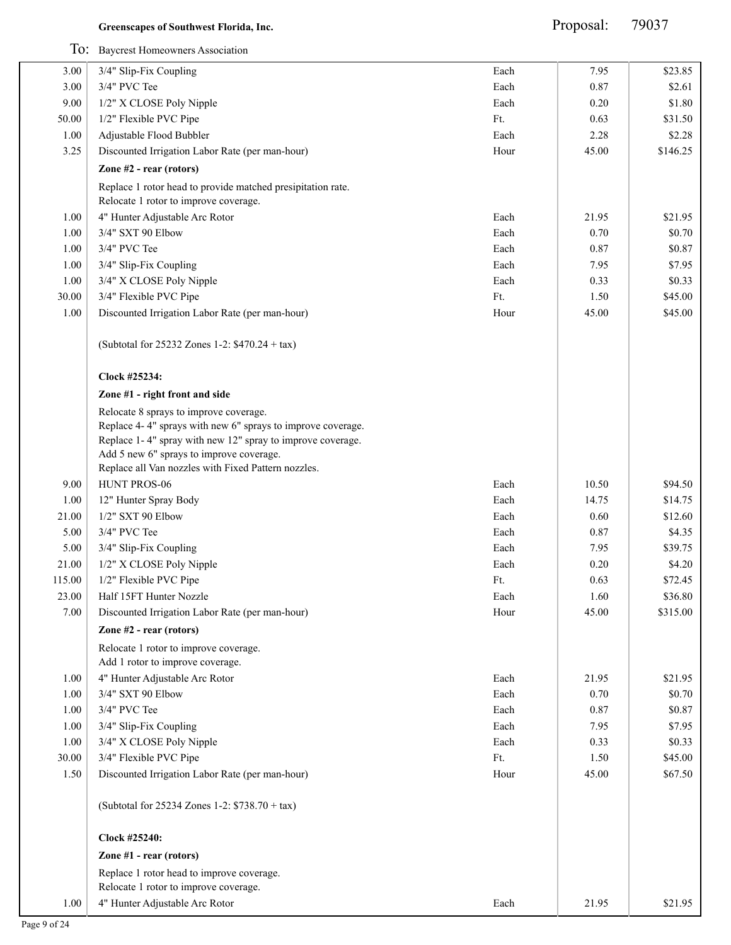Proposal: 79037

|        | To: Baycrest Homeowners Association                                                                                                                                                                                                                                    |      |       |          |
|--------|------------------------------------------------------------------------------------------------------------------------------------------------------------------------------------------------------------------------------------------------------------------------|------|-------|----------|
| 3.00   | 3/4" Slip-Fix Coupling                                                                                                                                                                                                                                                 | Each | 7.95  | \$23.85  |
| 3.00   | 3/4" PVC Tee                                                                                                                                                                                                                                                           | Each | 0.87  | \$2.61   |
| 9.00   | 1/2" X CLOSE Poly Nipple                                                                                                                                                                                                                                               | Each | 0.20  | \$1.80   |
| 50.00  | 1/2" Flexible PVC Pipe                                                                                                                                                                                                                                                 | Ft.  | 0.63  | \$31.50  |
| 1.00   | Adjustable Flood Bubbler                                                                                                                                                                                                                                               | Each | 2.28  | \$2.28   |
| 3.25   | Discounted Irrigation Labor Rate (per man-hour)                                                                                                                                                                                                                        | Hour | 45.00 | \$146.25 |
|        | Zone #2 - rear (rotors)                                                                                                                                                                                                                                                |      |       |          |
|        | Replace 1 rotor head to provide matched presipitation rate.<br>Relocate 1 rotor to improve coverage.                                                                                                                                                                   |      |       |          |
| 1.00   | 4" Hunter Adjustable Arc Rotor                                                                                                                                                                                                                                         | Each | 21.95 | \$21.95  |
| 1.00   | 3/4" SXT 90 Elbow                                                                                                                                                                                                                                                      | Each | 0.70  | \$0.70   |
| 1.00   | 3/4" PVC Tee                                                                                                                                                                                                                                                           | Each | 0.87  | \$0.87   |
| 1.00   | 3/4" Slip-Fix Coupling                                                                                                                                                                                                                                                 | Each | 7.95  | \$7.95   |
| 1.00   | 3/4" X CLOSE Poly Nipple                                                                                                                                                                                                                                               | Each | 0.33  | \$0.33   |
| 30.00  | 3/4" Flexible PVC Pipe                                                                                                                                                                                                                                                 | Ft.  | 1.50  | \$45.00  |
| 1.00   | Discounted Irrigation Labor Rate (per man-hour)                                                                                                                                                                                                                        | Hour | 45.00 | \$45.00  |
|        | (Subtotal for 25232 Zones 1-2: \$470.24 + tax)                                                                                                                                                                                                                         |      |       |          |
|        | Clock #25234:                                                                                                                                                                                                                                                          |      |       |          |
|        | Zone #1 - right front and side                                                                                                                                                                                                                                         |      |       |          |
|        | Relocate 8 sprays to improve coverage.<br>Replace 4-4" sprays with new 6" sprays to improve coverage.<br>Replace 1-4" spray with new 12" spray to improve coverage.<br>Add 5 new 6" sprays to improve coverage.<br>Replace all Van nozzles with Fixed Pattern nozzles. |      |       |          |
| 9.00   | HUNT PROS-06                                                                                                                                                                                                                                                           | Each | 10.50 | \$94.50  |
| 1.00   | 12" Hunter Spray Body                                                                                                                                                                                                                                                  | Each | 14.75 | \$14.75  |
| 21.00  | 1/2" SXT 90 Elbow                                                                                                                                                                                                                                                      | Each | 0.60  | \$12.60  |
| 5.00   | 3/4" PVC Tee                                                                                                                                                                                                                                                           | Each | 0.87  | \$4.35   |
| 5.00   | 3/4" Slip-Fix Coupling                                                                                                                                                                                                                                                 | Each | 7.95  | \$39.75  |
| 21.00  | 1/2" X CLOSE Poly Nipple                                                                                                                                                                                                                                               | Each | 0.20  | \$4.20   |
| 115.00 | 1/2" Flexible PVC Pipe                                                                                                                                                                                                                                                 | Ft.  | 0.63  | \$72.45  |
| 23.00  | Half 15FT Hunter Nozzle                                                                                                                                                                                                                                                | Each | 1.60  | \$36.80  |
| 7.00   | Discounted Irrigation Labor Rate (per man-hour)                                                                                                                                                                                                                        | Hour | 45.00 | \$315.00 |
|        | Zone #2 - rear (rotors)                                                                                                                                                                                                                                                |      |       |          |
|        | Relocate 1 rotor to improve coverage.<br>Add 1 rotor to improve coverage.                                                                                                                                                                                              |      |       |          |
| 1.00   | 4" Hunter Adjustable Arc Rotor                                                                                                                                                                                                                                         | Each | 21.95 | \$21.95  |
| 1.00   | 3/4" SXT 90 Elbow                                                                                                                                                                                                                                                      | Each | 0.70  | \$0.70   |
| 1.00   | 3/4" PVC Tee                                                                                                                                                                                                                                                           | Each | 0.87  | \$0.87   |
| 1.00   | 3/4" Slip-Fix Coupling                                                                                                                                                                                                                                                 | Each | 7.95  | \$7.95   |
| 1.00   | 3/4" X CLOSE Poly Nipple                                                                                                                                                                                                                                               | Each | 0.33  | \$0.33   |
| 30.00  | 3/4" Flexible PVC Pipe                                                                                                                                                                                                                                                 | Ft.  | 1.50  | \$45.00  |
| 1.50   | Discounted Irrigation Labor Rate (per man-hour)                                                                                                                                                                                                                        | Hour | 45.00 | \$67.50  |
|        | (Subtotal for 25234 Zones 1-2: \$738.70 + tax)                                                                                                                                                                                                                         |      |       |          |
|        | Clock #25240:                                                                                                                                                                                                                                                          |      |       |          |
|        | Zone #1 - rear (rotors)                                                                                                                                                                                                                                                |      |       |          |
|        | Replace 1 rotor head to improve coverage.                                                                                                                                                                                                                              |      |       |          |
|        | Relocate 1 rotor to improve coverage.                                                                                                                                                                                                                                  |      |       |          |
| 1.00   | 4" Hunter Adjustable Arc Rotor                                                                                                                                                                                                                                         | Each | 21.95 | \$21.95  |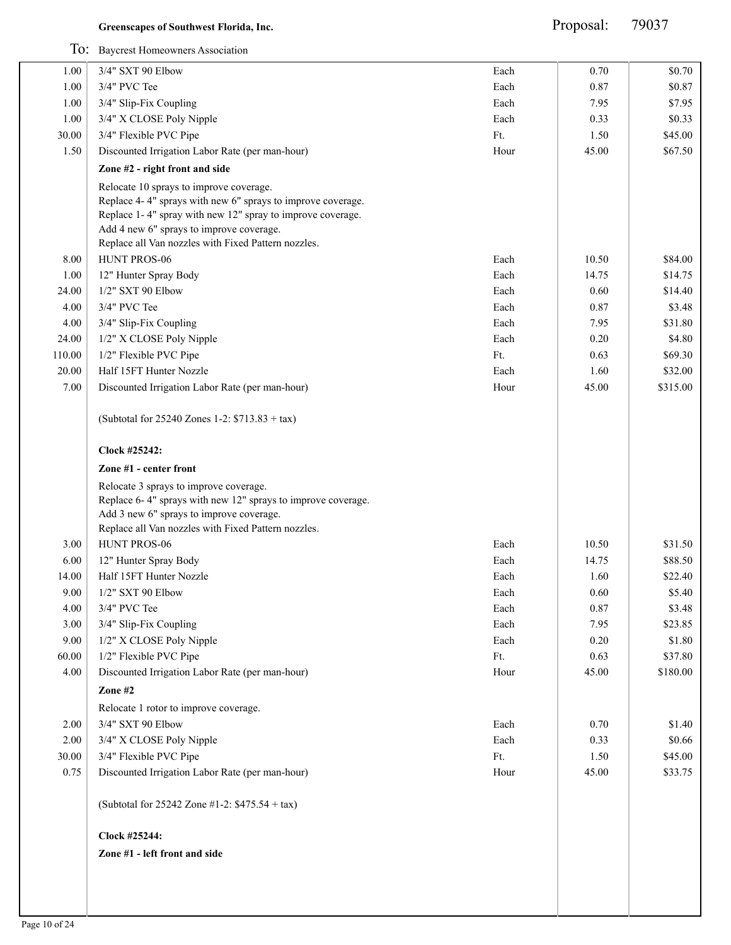Proposal: 79037

|        | To: Baycrest Homeowners Association                                                                                                                                                                                                                                                     |      |       |          |
|--------|-----------------------------------------------------------------------------------------------------------------------------------------------------------------------------------------------------------------------------------------------------------------------------------------|------|-------|----------|
| 1.00   | 3/4" SXT 90 Elbow                                                                                                                                                                                                                                                                       | Each | 0.70  | \$0.70   |
| 1.00   | 3/4" PVC Tee                                                                                                                                                                                                                                                                            | Each | 0.87  | \$0.87   |
| 1.00   | 3/4" Slip-Fix Coupling                                                                                                                                                                                                                                                                  | Each | 7.95  | \$7.95   |
| 1.00   | 3/4" X CLOSE Poly Nipple                                                                                                                                                                                                                                                                | Each | 0.33  | \$0.33   |
| 30.00  | 3/4" Flexible PVC Pipe                                                                                                                                                                                                                                                                  | Ft.  | 1.50  | \$45.00  |
| 1.50   | Discounted Irrigation Labor Rate (per man-hour)                                                                                                                                                                                                                                         | Hour | 45.00 | \$67.50  |
|        | Zone #2 - right front and side                                                                                                                                                                                                                                                          |      |       |          |
| 8.00   | Relocate 10 sprays to improve coverage.<br>Replace 4-4" sprays with new 6" sprays to improve coverage.<br>Replace 1-4" spray with new 12" spray to improve coverage.<br>Add 4 new 6" sprays to improve coverage.<br>Replace all Van nozzles with Fixed Pattern nozzles.<br>HUNT PROS-06 | Each | 10.50 | \$84.00  |
| 1.00   | 12" Hunter Spray Body                                                                                                                                                                                                                                                                   | Each | 14.75 | \$14.75  |
| 24.00  | 1/2" SXT 90 Elbow                                                                                                                                                                                                                                                                       | Each | 0.60  | \$14.40  |
| 4.00   | 3/4" PVC Tee                                                                                                                                                                                                                                                                            | Each | 0.87  | \$3.48   |
| 4.00   | 3/4" Slip-Fix Coupling                                                                                                                                                                                                                                                                  | Each | 7.95  | \$31.80  |
| 24.00  | 1/2" X CLOSE Poly Nipple                                                                                                                                                                                                                                                                | Each | 0.20  | \$4.80   |
| 110.00 | 1/2" Flexible PVC Pipe                                                                                                                                                                                                                                                                  | Ft.  | 0.63  | \$69.30  |
| 20.00  | Half 15FT Hunter Nozzle                                                                                                                                                                                                                                                                 | Each | 1.60  | \$32.00  |
| 7.00   | Discounted Irrigation Labor Rate (per man-hour)                                                                                                                                                                                                                                         | Hour | 45.00 | \$315.00 |
|        | (Subtotal for 25240 Zones 1-2: \$713.83 + tax)                                                                                                                                                                                                                                          |      |       |          |
|        | Clock #25242:                                                                                                                                                                                                                                                                           |      |       |          |
|        | Zone #1 - center front                                                                                                                                                                                                                                                                  |      |       |          |
|        | Relocate 3 sprays to improve coverage.<br>Replace 6-4" sprays with new 12" sprays to improve coverage.<br>Add 3 new 6" sprays to improve coverage.<br>Replace all Van nozzles with Fixed Pattern nozzles.                                                                               |      |       |          |
| 3.00   | HUNT PROS-06                                                                                                                                                                                                                                                                            | Each | 10.50 | \$31.50  |
| 6.00   | 12" Hunter Spray Body                                                                                                                                                                                                                                                                   | Each | 14.75 | \$88.50  |
| 14.00  | Half 15FT Hunter Nozzle                                                                                                                                                                                                                                                                 | Each | 1.60  | \$22.40  |
| 9.00   | 1/2" SXT 90 Elbow                                                                                                                                                                                                                                                                       | Each | 0.60  | \$5.40   |
| 4.00   | 3/4" PVC Tee                                                                                                                                                                                                                                                                            | Each | 0.87  | \$3.48   |
| 3.00   | 3/4" Slip-Fix Coupling                                                                                                                                                                                                                                                                  | Each | 7.95  | \$23.85  |
| 9.00   | 1/2" X CLOSE Poly Nipple                                                                                                                                                                                                                                                                | Each | 0.20  | \$1.80   |
| 60.00  | 1/2" Flexible PVC Pipe                                                                                                                                                                                                                                                                  | Ft.  | 0.63  | \$37.80  |
| 4.00   | Discounted Irrigation Labor Rate (per man-hour)                                                                                                                                                                                                                                         | Hour | 45.00 | \$180.00 |
|        | Zone #2                                                                                                                                                                                                                                                                                 |      |       |          |
|        | Relocate 1 rotor to improve coverage.                                                                                                                                                                                                                                                   |      |       |          |
| 2.00   | 3/4" SXT 90 Elbow                                                                                                                                                                                                                                                                       | Each | 0.70  | \$1.40   |
| 2.00   | 3/4" X CLOSE Poly Nipple                                                                                                                                                                                                                                                                | Each | 0.33  | \$0.66   |
| 30.00  | 3/4" Flexible PVC Pipe                                                                                                                                                                                                                                                                  | Ft.  | 1.50  | \$45.00  |
| 0.75   | Discounted Irrigation Labor Rate (per man-hour)                                                                                                                                                                                                                                         | Hour | 45.00 | \$33.75  |
|        | (Subtotal for 25242 Zone #1-2: \$475.54 + tax)                                                                                                                                                                                                                                          |      |       |          |
|        | Clock #25244:                                                                                                                                                                                                                                                                           |      |       |          |
|        | Zone #1 - left front and side                                                                                                                                                                                                                                                           |      |       |          |
|        |                                                                                                                                                                                                                                                                                         |      |       |          |
|        |                                                                                                                                                                                                                                                                                         |      |       |          |
|        |                                                                                                                                                                                                                                                                                         |      |       |          |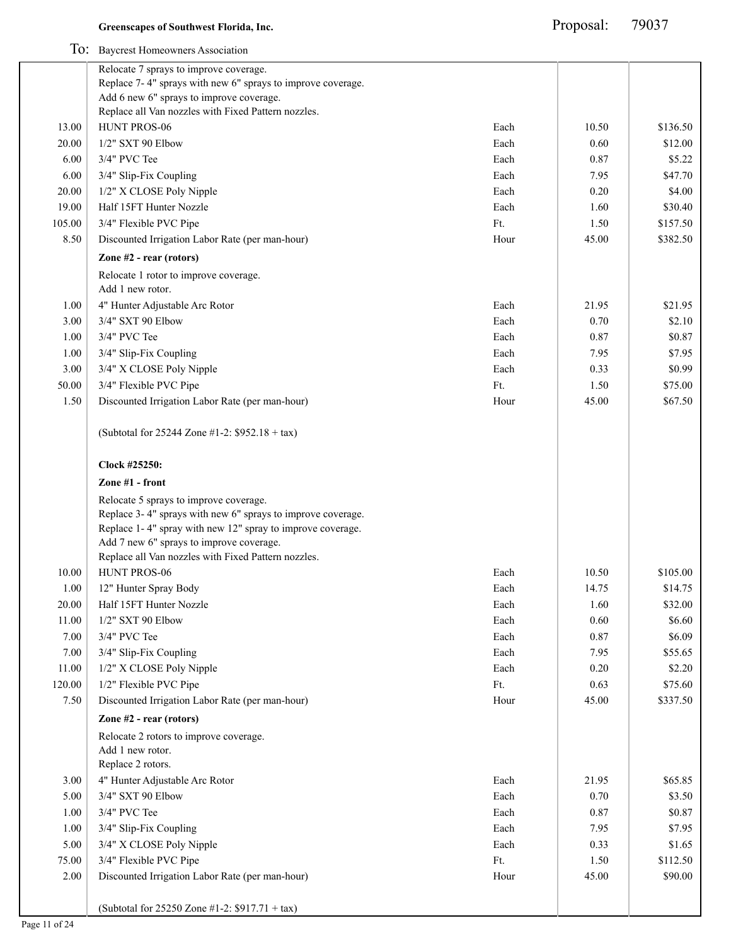|        | To: Baycrest Homeowners Association                                                                                                                                                                                                                                    |      |          |          |
|--------|------------------------------------------------------------------------------------------------------------------------------------------------------------------------------------------------------------------------------------------------------------------------|------|----------|----------|
|        | Relocate 7 sprays to improve coverage.                                                                                                                                                                                                                                 |      |          |          |
|        | Replace 7-4" sprays with new 6" sprays to improve coverage.                                                                                                                                                                                                            |      |          |          |
|        | Add 6 new 6" sprays to improve coverage.                                                                                                                                                                                                                               |      |          |          |
|        | Replace all Van nozzles with Fixed Pattern nozzles.                                                                                                                                                                                                                    |      |          |          |
| 13.00  | HUNT PROS-06                                                                                                                                                                                                                                                           | Each | 10.50    | \$136.50 |
| 20.00  | 1/2" SXT 90 Elbow                                                                                                                                                                                                                                                      | Each | 0.60     | \$12.00  |
| 6.00   | 3/4" PVC Tee                                                                                                                                                                                                                                                           | Each | 0.87     | \$5.22   |
| 6.00   | 3/4" Slip-Fix Coupling                                                                                                                                                                                                                                                 | Each | 7.95     | \$47.70  |
| 20.00  | 1/2" X CLOSE Poly Nipple                                                                                                                                                                                                                                               | Each | 0.20     | \$4.00   |
| 19.00  | Half 15FT Hunter Nozzle                                                                                                                                                                                                                                                | Each | 1.60     | \$30.40  |
| 105.00 | 3/4" Flexible PVC Pipe                                                                                                                                                                                                                                                 | Ft.  | 1.50     | \$157.50 |
| 8.50   | Discounted Irrigation Labor Rate (per man-hour)                                                                                                                                                                                                                        | Hour | 45.00    | \$382.50 |
|        | Zone $#2$ - rear (rotors)                                                                                                                                                                                                                                              |      |          |          |
|        | Relocate 1 rotor to improve coverage.                                                                                                                                                                                                                                  |      |          |          |
|        | Add 1 new rotor.                                                                                                                                                                                                                                                       |      |          |          |
| 1.00   | 4" Hunter Adjustable Arc Rotor                                                                                                                                                                                                                                         | Each | 21.95    | \$21.95  |
| 3.00   | 3/4" SXT 90 Elbow                                                                                                                                                                                                                                                      | Each | 0.70     | \$2.10   |
| 1.00   | 3/4" PVC Tee                                                                                                                                                                                                                                                           | Each | 0.87     | \$0.87   |
| 1.00   | 3/4" Slip-Fix Coupling                                                                                                                                                                                                                                                 | Each | 7.95     | \$7.95   |
| 3.00   | 3/4" X CLOSE Poly Nipple                                                                                                                                                                                                                                               | Each | 0.33     | \$0.99   |
| 50.00  | 3/4" Flexible PVC Pipe                                                                                                                                                                                                                                                 | Ft.  | 1.50     | \$75.00  |
| 1.50   | Discounted Irrigation Labor Rate (per man-hour)                                                                                                                                                                                                                        | Hour | 45.00    | \$67.50  |
|        |                                                                                                                                                                                                                                                                        |      |          |          |
|        | (Subtotal for 25244 Zone #1-2: \$952.18 + tax)                                                                                                                                                                                                                         |      |          |          |
|        | Clock #25250:                                                                                                                                                                                                                                                          |      |          |          |
|        | Zone #1 - front                                                                                                                                                                                                                                                        |      |          |          |
|        | Relocate 5 sprays to improve coverage.<br>Replace 3-4" sprays with new 6" sprays to improve coverage.<br>Replace 1-4" spray with new 12" spray to improve coverage.<br>Add 7 new 6" sprays to improve coverage.<br>Replace all Van nozzles with Fixed Pattern nozzles. |      |          |          |
| 10.00  | HUNT PROS-06                                                                                                                                                                                                                                                           | Each | 10.50    | \$105.00 |
| 1.00   | 12" Hunter Spray Body                                                                                                                                                                                                                                                  | Each | 14.75    | \$14.75  |
| 20.00  | Half 15FT Hunter Nozzle                                                                                                                                                                                                                                                | Each | 1.60     | \$32.00  |
| 11.00  | 1/2" SXT 90 Elbow                                                                                                                                                                                                                                                      | Each | 0.60     | \$6.60   |
| 7.00   | 3/4" PVC Tee                                                                                                                                                                                                                                                           | Each | 0.87     | \$6.09   |
| 7.00   | 3/4" Slip-Fix Coupling                                                                                                                                                                                                                                                 | Each | 7.95     | \$55.65  |
| 11.00  | 1/2" X CLOSE Poly Nipple                                                                                                                                                                                                                                               | Each | $0.20\,$ | \$2.20   |
| 120.00 | 1/2" Flexible PVC Pipe                                                                                                                                                                                                                                                 | Ft.  | 0.63     | \$75.60  |
| 7.50   | Discounted Irrigation Labor Rate (per man-hour)                                                                                                                                                                                                                        | Hour | 45.00    | \$337.50 |
|        | Zone #2 - rear (rotors)                                                                                                                                                                                                                                                |      |          |          |
|        | Relocate 2 rotors to improve coverage.                                                                                                                                                                                                                                 |      |          |          |
|        | Add 1 new rotor.                                                                                                                                                                                                                                                       |      |          |          |
|        | Replace 2 rotors.                                                                                                                                                                                                                                                      |      |          |          |
| 3.00   | 4" Hunter Adjustable Arc Rotor                                                                                                                                                                                                                                         | Each | 21.95    | \$65.85  |
| 5.00   | 3/4" SXT 90 Elbow                                                                                                                                                                                                                                                      | Each | 0.70     | \$3.50   |
| 1.00   | 3/4" PVC Tee                                                                                                                                                                                                                                                           | Each | 0.87     | \$0.87   |
| 1.00   | 3/4" Slip-Fix Coupling                                                                                                                                                                                                                                                 | Each | 7.95     | \$7.95   |
| 5.00   | 3/4" X CLOSE Poly Nipple                                                                                                                                                                                                                                               | Each | 0.33     | \$1.65   |
| 75.00  | 3/4" Flexible PVC Pipe                                                                                                                                                                                                                                                 | Ft.  | 1.50     | \$112.50 |
| 2.00   | Discounted Irrigation Labor Rate (per man-hour)                                                                                                                                                                                                                        | Hour | 45.00    | \$90.00  |
|        | (Subtotal for 25250 Zone #1-2: \$917.71 + tax)                                                                                                                                                                                                                         |      |          |          |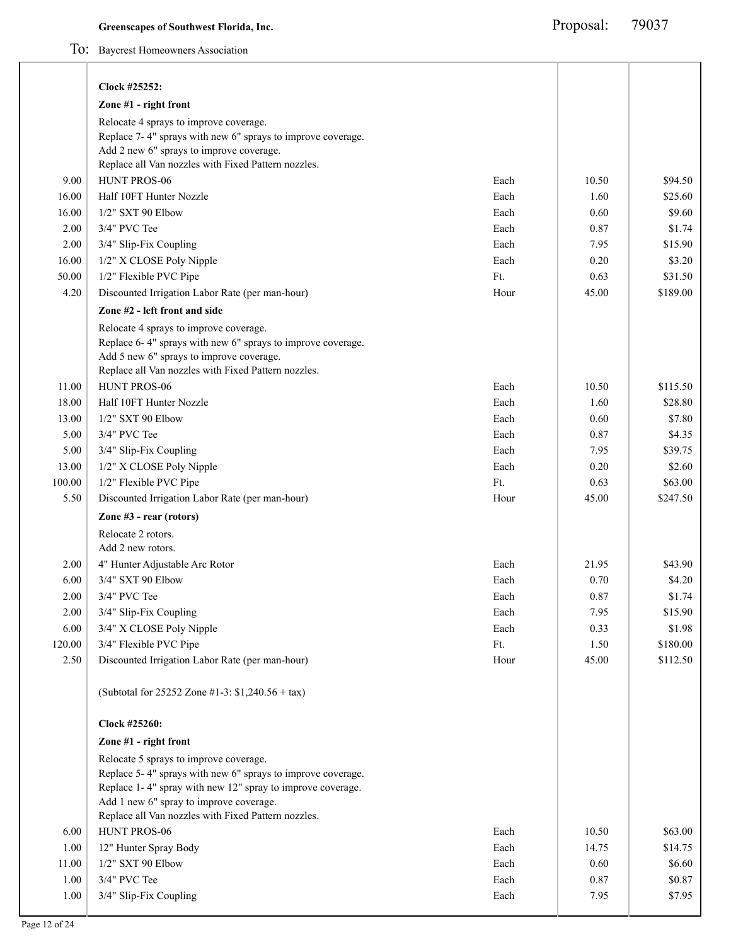To: Baycrest Homeowners Association

|        | Clock #25252:                                                                                                                                                                                                                                                         |      |       |          |
|--------|-----------------------------------------------------------------------------------------------------------------------------------------------------------------------------------------------------------------------------------------------------------------------|------|-------|----------|
|        | Zone #1 - right front                                                                                                                                                                                                                                                 |      |       |          |
|        | Relocate 4 sprays to improve coverage.<br>Replace 7-4" sprays with new 6" sprays to improve coverage.<br>Add 2 new 6" sprays to improve coverage.<br>Replace all Van nozzles with Fixed Pattern nozzles.                                                              |      |       |          |
| 9.00   | HUNT PROS-06                                                                                                                                                                                                                                                          | Each | 10.50 | \$94.50  |
| 16.00  | Half 10FT Hunter Nozzle                                                                                                                                                                                                                                               | Each | 1.60  | \$25.60  |
| 16.00  | 1/2" SXT 90 Elbow                                                                                                                                                                                                                                                     | Each | 0.60  | \$9.60   |
| 2.00   | 3/4" PVC Tee                                                                                                                                                                                                                                                          | Each | 0.87  | \$1.74   |
| 2.00   | 3/4" Slip-Fix Coupling                                                                                                                                                                                                                                                | Each | 7.95  | \$15.90  |
| 16.00  | 1/2" X CLOSE Poly Nipple                                                                                                                                                                                                                                              | Each | 0.20  | \$3.20   |
| 50.00  | 1/2" Flexible PVC Pipe                                                                                                                                                                                                                                                | Ft.  | 0.63  | \$31.50  |
| 4.20   | Discounted Irrigation Labor Rate (per man-hour)                                                                                                                                                                                                                       | Hour | 45.00 | \$189.00 |
|        | Zone #2 - left front and side                                                                                                                                                                                                                                         |      |       |          |
|        | Relocate 4 sprays to improve coverage.<br>Replace 6-4" sprays with new 6" sprays to improve coverage.<br>Add 5 new 6" sprays to improve coverage.<br>Replace all Van nozzles with Fixed Pattern nozzles.                                                              |      |       |          |
| 11.00  | HUNT PROS-06                                                                                                                                                                                                                                                          | Each | 10.50 | \$115.50 |
| 18.00  | Half 10FT Hunter Nozzle                                                                                                                                                                                                                                               | Each | 1.60  | \$28.80  |
| 13.00  | 1/2" SXT 90 Elbow                                                                                                                                                                                                                                                     | Each | 0.60  | \$7.80   |
| 5.00   | 3/4" PVC Tee                                                                                                                                                                                                                                                          | Each | 0.87  | \$4.35   |
| 5.00   | 3/4" Slip-Fix Coupling                                                                                                                                                                                                                                                | Each | 7.95  | \$39.75  |
| 13.00  | 1/2" X CLOSE Poly Nipple                                                                                                                                                                                                                                              | Each | 0.20  | \$2.60   |
| 100.00 | 1/2" Flexible PVC Pipe                                                                                                                                                                                                                                                | Ft.  | 0.63  | \$63.00  |
| 5.50   | Discounted Irrigation Labor Rate (per man-hour)                                                                                                                                                                                                                       | Hour | 45.00 | \$247.50 |
|        | Zone #3 - rear (rotors)                                                                                                                                                                                                                                               |      |       |          |
|        | Relocate 2 rotors.<br>Add 2 new rotors.                                                                                                                                                                                                                               |      |       |          |
| 2.00   | 4" Hunter Adjustable Arc Rotor                                                                                                                                                                                                                                        | Each | 21.95 | \$43.90  |
| 6.00   | 3/4" SXT 90 Elbow                                                                                                                                                                                                                                                     | Each | 0.70  | \$4.20   |
| 2.00   | 3/4" PVC Tee                                                                                                                                                                                                                                                          | Each | 0.87  | \$1.74   |
| 2.00   | 3/4" Slip-Fix Coupling                                                                                                                                                                                                                                                | Each | 7.95  | \$15.90  |
| 6.00   | 3/4" X CLOSE Poly Nipple                                                                                                                                                                                                                                              | Each | 0.33  | \$1.98   |
| 120.00 | 3/4" Flexible PVC Pipe                                                                                                                                                                                                                                                | Ft.  | 1.50  | \$180.00 |
| 2.50   | Discounted Irrigation Labor Rate (per man-hour)<br>(Subtotal for 25252 Zone #1-3: $$1,240.56 + tax$ )                                                                                                                                                                 | Hour | 45.00 | \$112.50 |
|        | Clock #25260:                                                                                                                                                                                                                                                         |      |       |          |
|        | Zone #1 - right front                                                                                                                                                                                                                                                 |      |       |          |
|        | Relocate 5 sprays to improve coverage.<br>Replace 5-4" sprays with new 6" sprays to improve coverage.<br>Replace 1-4" spray with new 12" spray to improve coverage.<br>Add 1 new 6" spray to improve coverage.<br>Replace all Van nozzles with Fixed Pattern nozzles. |      |       |          |
| 6.00   | HUNT PROS-06                                                                                                                                                                                                                                                          | Each | 10.50 | \$63.00  |
| 1.00   | 12" Hunter Spray Body                                                                                                                                                                                                                                                 | Each | 14.75 | \$14.75  |
| 11.00  | 1/2" SXT 90 Elbow                                                                                                                                                                                                                                                     | Each | 0.60  | \$6.60   |
| 1.00   | 3/4" PVC Tee                                                                                                                                                                                                                                                          | Each | 0.87  | \$0.87   |
| 1.00   | 3/4" Slip-Fix Coupling                                                                                                                                                                                                                                                | Each | 7.95  | \$7.95   |
|        |                                                                                                                                                                                                                                                                       |      |       |          |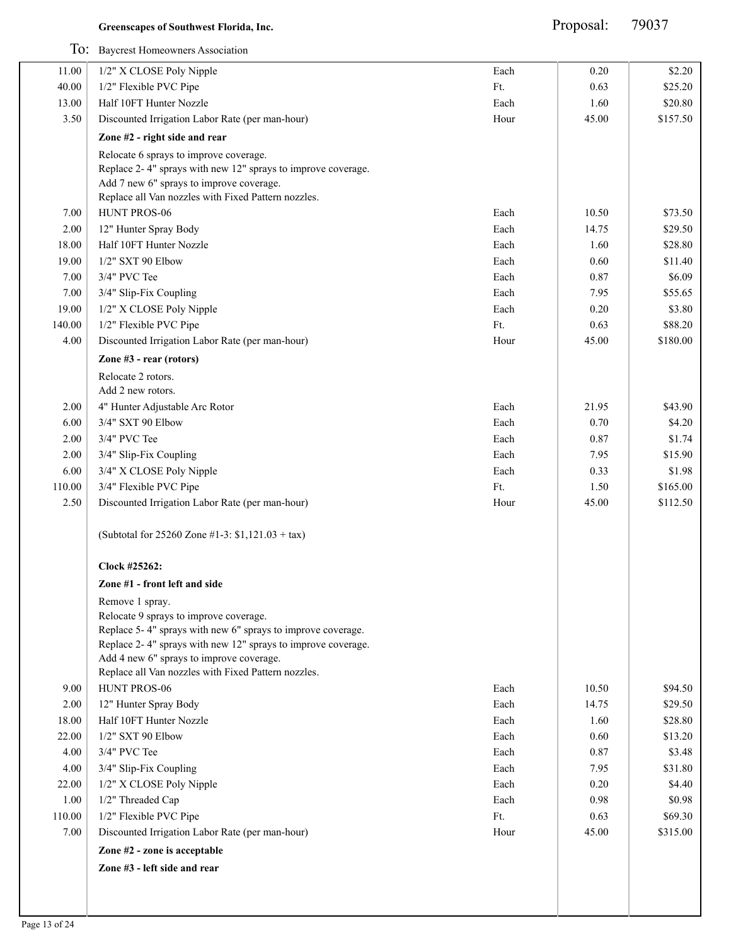|               | To: Baycrest Homeowners Association                                                                      |              |               |                    |
|---------------|----------------------------------------------------------------------------------------------------------|--------------|---------------|--------------------|
| 11.00         | 1/2" X CLOSE Poly Nipple                                                                                 | Each         | 0.20          | \$2.20             |
| 40.00         | 1/2" Flexible PVC Pipe                                                                                   | Ft.          | 0.63          | \$25.20            |
| 13.00         | Half 10FT Hunter Nozzle                                                                                  | Each         | 1.60          | \$20.80            |
| 3.50          | Discounted Irrigation Labor Rate (per man-hour)                                                          | Hour         | 45.00         | \$157.50           |
|               | Zone #2 - right side and rear                                                                            |              |               |                    |
|               | Relocate 6 sprays to improve coverage.                                                                   |              |               |                    |
|               | Replace 2-4" sprays with new 12" sprays to improve coverage.                                             |              |               |                    |
|               | Add 7 new 6" sprays to improve coverage.                                                                 |              |               |                    |
|               | Replace all Van nozzles with Fixed Pattern nozzles.                                                      |              |               |                    |
| 7.00          | HUNT PROS-06                                                                                             | Each         | 10.50         | \$73.50            |
| 2.00<br>18.00 | 12" Hunter Spray Body<br>Half 10FT Hunter Nozzle                                                         | Each<br>Each | 14.75<br>1.60 | \$29.50<br>\$28.80 |
| 19.00         | $1/2$ " SXT 90 Elbow                                                                                     | Each         | 0.60          | \$11.40            |
| 7.00          | 3/4" PVC Tee                                                                                             | Each         | 0.87          | \$6.09             |
| 7.00          | 3/4" Slip-Fix Coupling                                                                                   | Each         | 7.95          | \$55.65            |
| 19.00         | 1/2" X CLOSE Poly Nipple                                                                                 | Each         | 0.20          | \$3.80             |
| 140.00        | 1/2" Flexible PVC Pipe                                                                                   | Ft.          | 0.63          | \$88.20            |
| 4.00          | Discounted Irrigation Labor Rate (per man-hour)                                                          | Hour         | 45.00         | \$180.00           |
|               | Zone #3 - rear (rotors)                                                                                  |              |               |                    |
|               | Relocate 2 rotors.                                                                                       |              |               |                    |
|               | Add 2 new rotors.                                                                                        |              |               |                    |
| 2.00          | 4" Hunter Adjustable Arc Rotor                                                                           | Each         | 21.95         | \$43.90            |
| 6.00          | 3/4" SXT 90 Elbow                                                                                        | Each         | 0.70          | \$4.20             |
| 2.00          | 3/4" PVC Tee                                                                                             | Each         | 0.87          | \$1.74             |
| 2.00          | 3/4" Slip-Fix Coupling                                                                                   | Each         | 7.95          | \$15.90            |
| 6.00          | 3/4" X CLOSE Poly Nipple                                                                                 | Each         | 0.33          | \$1.98             |
| 110.00        | 3/4" Flexible PVC Pipe                                                                                   | Ft.          | 1.50          | \$165.00           |
| 2.50          | Discounted Irrigation Labor Rate (per man-hour)                                                          | Hour         | 45.00         | \$112.50           |
|               | (Subtotal for 25260 Zone #1-3: $$1,121.03 + tax$ )                                                       |              |               |                    |
|               | Clock #25262:                                                                                            |              |               |                    |
|               | Zone #1 - front left and side                                                                            |              |               |                    |
|               | Remove 1 spray.                                                                                          |              |               |                    |
|               | Relocate 9 sprays to improve coverage.                                                                   |              |               |                    |
|               | Replace 5-4" sprays with new 6" sprays to improve coverage.                                              |              |               |                    |
|               | Replace 2-4" sprays with new 12" sprays to improve coverage.<br>Add 4 new 6" sprays to improve coverage. |              |               |                    |
|               | Replace all Van nozzles with Fixed Pattern nozzles.                                                      |              |               |                    |
| 9.00          | HUNT PROS-06                                                                                             | Each         | 10.50         | \$94.50            |
| 2.00          | 12" Hunter Spray Body                                                                                    | Each         | 14.75         | \$29.50            |
| 18.00         | Half 10FT Hunter Nozzle                                                                                  | Each         | 1.60          | \$28.80            |
| 22.00         | 1/2" SXT 90 Elbow                                                                                        | Each         | 0.60          | \$13.20            |
| 4.00          | 3/4" PVC Tee                                                                                             | Each         | 0.87          | \$3.48             |
| 4.00          | 3/4" Slip-Fix Coupling                                                                                   | Each         | 7.95          | \$31.80            |
| 22.00         | 1/2" X CLOSE Poly Nipple                                                                                 | Each         | 0.20          | \$4.40             |
| 1.00          | 1/2" Threaded Cap                                                                                        | Each         | 0.98          | \$0.98             |
| 110.00        | 1/2" Flexible PVC Pipe                                                                                   | Ft.          | 0.63          | \$69.30            |
| 7.00          | Discounted Irrigation Labor Rate (per man-hour)                                                          | Hour         | 45.00         | \$315.00           |
|               | Zone #2 - zone is acceptable                                                                             |              |               |                    |
|               | Zone #3 - left side and rear                                                                             |              |               |                    |
|               |                                                                                                          |              |               |                    |
|               |                                                                                                          |              |               |                    |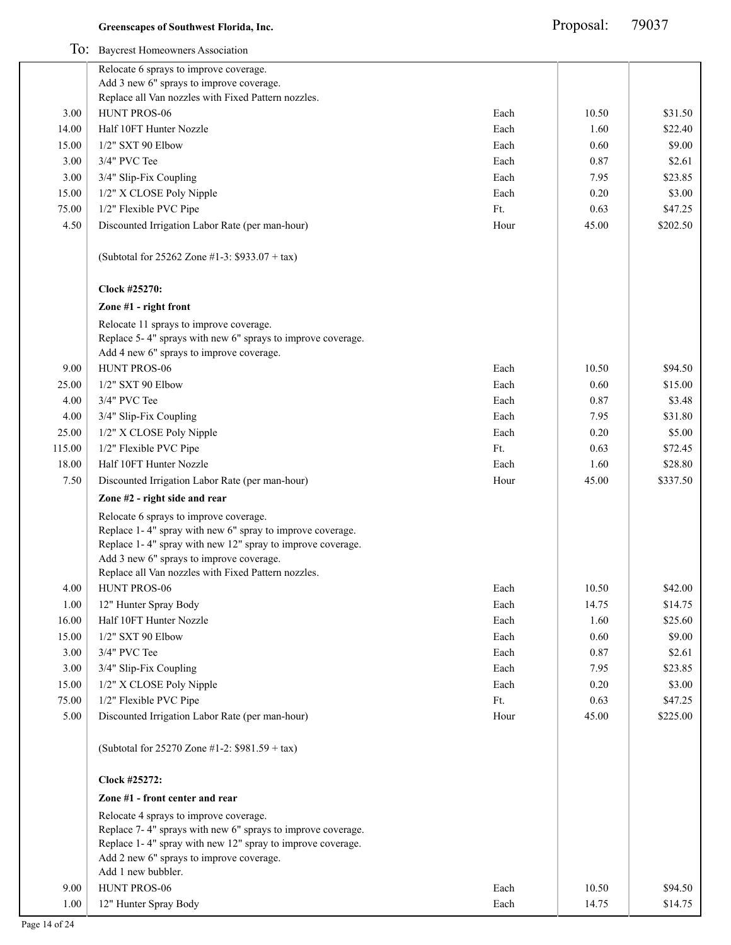|        | To: Baycrest Homeowners Association                         |      |       |          |
|--------|-------------------------------------------------------------|------|-------|----------|
|        | Relocate 6 sprays to improve coverage.                      |      |       |          |
|        | Add 3 new 6" sprays to improve coverage.                    |      |       |          |
|        | Replace all Van nozzles with Fixed Pattern nozzles.         |      |       |          |
| 3.00   | HUNT PROS-06                                                | Each | 10.50 | \$31.50  |
| 14.00  | Half 10FT Hunter Nozzle                                     | Each | 1.60  | \$22.40  |
| 15.00  | 1/2" SXT 90 Elbow                                           | Each | 0.60  | \$9.00   |
| 3.00   | 3/4" PVC Tee                                                | Each | 0.87  | \$2.61   |
| 3.00   | 3/4" Slip-Fix Coupling                                      | Each | 7.95  | \$23.85  |
| 15.00  | 1/2" X CLOSE Poly Nipple                                    | Each | 0.20  | \$3.00   |
| 75.00  | 1/2" Flexible PVC Pipe                                      | Ft.  | 0.63  | \$47.25  |
| 4.50   | Discounted Irrigation Labor Rate (per man-hour)             | Hour | 45.00 | \$202.50 |
|        | (Subtotal for 25262 Zone #1-3: \$933.07 + tax)              |      |       |          |
|        | Clock #25270:                                               |      |       |          |
|        | Zone #1 - right front                                       |      |       |          |
|        | Relocate 11 sprays to improve coverage.                     |      |       |          |
|        | Replace 5-4" sprays with new 6" sprays to improve coverage. |      |       |          |
|        | Add 4 new 6" sprays to improve coverage.                    |      |       |          |
| 9.00   | HUNT PROS-06                                                | Each | 10.50 | \$94.50  |
| 25.00  | 1/2" SXT 90 Elbow                                           | Each | 0.60  | \$15.00  |
| 4.00   | 3/4" PVC Tee                                                | Each | 0.87  | \$3.48   |
| 4.00   | 3/4" Slip-Fix Coupling                                      | Each | 7.95  | \$31.80  |
| 25.00  | 1/2" X CLOSE Poly Nipple                                    | Each | 0.20  | \$5.00   |
| 115.00 | 1/2" Flexible PVC Pipe                                      | Ft.  | 0.63  | \$72.45  |
| 18.00  | Half 10FT Hunter Nozzle                                     | Each | 1.60  | \$28.80  |
| 7.50   | Discounted Irrigation Labor Rate (per man-hour)             | Hour | 45.00 | \$337.50 |
|        | Zone #2 - right side and rear                               |      |       |          |
|        | Relocate 6 sprays to improve coverage.                      |      |       |          |
|        | Replace 1-4" spray with new 6" spray to improve coverage.   |      |       |          |
|        | Replace 1-4" spray with new 12" spray to improve coverage.  |      |       |          |
|        | Add 3 new 6" sprays to improve coverage.                    |      |       |          |
|        | Replace all Van nozzles with Fixed Pattern nozzles.         |      |       |          |
| 4.00   | HUNT PROS-06                                                | Each | 10.50 | \$42.00  |
| 1.00   | 12" Hunter Spray Body                                       | Each | 14.75 | \$14.75  |
| 16.00  | Half 10FT Hunter Nozzle                                     | Each | 1.60  | \$25.60  |
| 15.00  | 1/2" SXT 90 Elbow                                           | Each | 0.60  | \$9.00   |
| 3.00   | 3/4" PVC Tee                                                | Each | 0.87  | \$2.61   |
| 3.00   | 3/4" Slip-Fix Coupling                                      | Each | 7.95  | \$23.85  |
| 15.00  | 1/2" X CLOSE Poly Nipple                                    | Each | 0.20  | \$3.00   |
| 75.00  | 1/2" Flexible PVC Pipe                                      | Ft.  | 0.63  | \$47.25  |
| 5.00   | Discounted Irrigation Labor Rate (per man-hour)             | Hour | 45.00 | \$225.00 |
|        | (Subtotal for 25270 Zone #1-2: \$981.59 + tax)              |      |       |          |
|        | Clock #25272:                                               |      |       |          |
|        | Zone #1 - front center and rear                             |      |       |          |
|        | Relocate 4 sprays to improve coverage.                      |      |       |          |
|        | Replace 7-4" sprays with new 6" sprays to improve coverage. |      |       |          |
|        | Replace 1-4" spray with new 12" spray to improve coverage.  |      |       |          |
|        | Add 2 new 6" sprays to improve coverage.                    |      |       |          |
|        | Add 1 new bubbler.                                          |      |       |          |
| 9.00   | HUNT PROS-06                                                | Each | 10.50 | \$94.50  |
| 1.00   | 12" Hunter Spray Body                                       | Each | 14.75 | \$14.75  |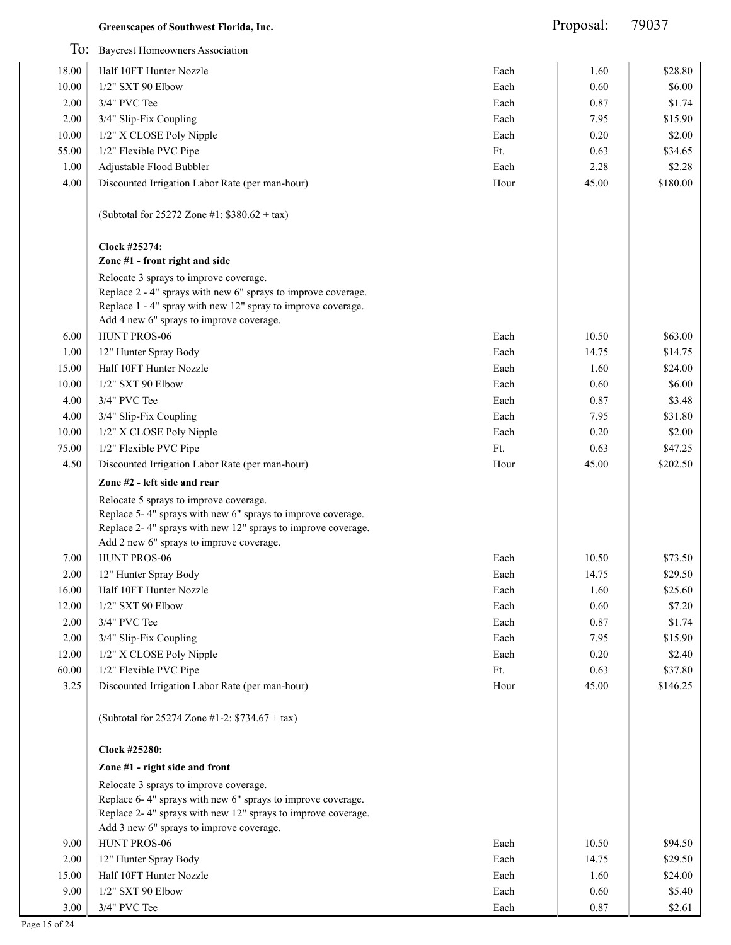|                | To: Baycrest Homeowners Association                                                                                                                                                                               |              |              |                   |
|----------------|-------------------------------------------------------------------------------------------------------------------------------------------------------------------------------------------------------------------|--------------|--------------|-------------------|
| 18.00          | Half 10FT Hunter Nozzle                                                                                                                                                                                           | Each         | 1.60         | \$28.80           |
| 10.00          | 1/2" SXT 90 Elbow                                                                                                                                                                                                 | Each         | 0.60         | \$6.00            |
| 2.00           | 3/4" PVC Tee                                                                                                                                                                                                      | Each         | 0.87         | \$1.74            |
| 2.00           | 3/4" Slip-Fix Coupling                                                                                                                                                                                            | Each         | 7.95         | \$15.90           |
| 10.00          | 1/2" X CLOSE Poly Nipple                                                                                                                                                                                          | Each         | 0.20         | \$2.00            |
| 55.00          | 1/2" Flexible PVC Pipe                                                                                                                                                                                            | Ft.          | 0.63         | \$34.65           |
| 1.00           | Adjustable Flood Bubbler                                                                                                                                                                                          | Each         | 2.28         | \$2.28            |
| 4.00           | Discounted Irrigation Labor Rate (per man-hour)                                                                                                                                                                   | Hour         | 45.00        | \$180.00          |
|                |                                                                                                                                                                                                                   |              |              |                   |
|                | (Subtotal for 25272 Zone #1: $$380.62 + tax$ )                                                                                                                                                                    |              |              |                   |
|                | Clock #25274:<br>Zone #1 - front right and side                                                                                                                                                                   |              |              |                   |
|                |                                                                                                                                                                                                                   |              |              |                   |
|                | Relocate 3 sprays to improve coverage.<br>Replace 2 - 4" sprays with new 6" sprays to improve coverage.<br>Replace 1 - 4" spray with new 12" spray to improve coverage.                                           |              |              |                   |
|                | Add 4 new 6" sprays to improve coverage.<br>HUNT PROS-06                                                                                                                                                          |              |              |                   |
| 6.00           |                                                                                                                                                                                                                   | Each         | 10.50        | \$63.00           |
| 1.00           | 12" Hunter Spray Body                                                                                                                                                                                             | Each         | 14.75        | \$14.75           |
| 15.00          | Half 10FT Hunter Nozzle                                                                                                                                                                                           | Each         | 1.60         | \$24.00           |
| 10.00          | 1/2" SXT 90 Elbow                                                                                                                                                                                                 | Each         | 0.60         | \$6.00            |
| 4.00           | 3/4" PVC Tee                                                                                                                                                                                                      | Each         | 0.87         | \$3.48            |
| 4.00           | 3/4" Slip-Fix Coupling                                                                                                                                                                                            | Each         | 7.95         | \$31.80           |
| 10.00          | 1/2" X CLOSE Poly Nipple                                                                                                                                                                                          | Each         | 0.20         | \$2.00            |
| 75.00          | 1/2" Flexible PVC Pipe                                                                                                                                                                                            | Ft.          | 0.63         | \$47.25           |
| 4.50           | Discounted Irrigation Labor Rate (per man-hour)                                                                                                                                                                   | Hour         | 45.00        | \$202.50          |
|                | Zone #2 - left side and rear                                                                                                                                                                                      |              |              |                   |
|                | Relocate 5 sprays to improve coverage.<br>Replace 5-4" sprays with new 6" sprays to improve coverage.<br>Replace 2-4" sprays with new 12" sprays to improve coverage.<br>Add 2 new 6" sprays to improve coverage. |              |              |                   |
| 7.00           | HUNT PROS-06                                                                                                                                                                                                      | Each         | 10.50        | \$73.50           |
| 2.00           | 12" Hunter Spray Body                                                                                                                                                                                             |              | 14.75        | \$29.50           |
|                | Half 10FT Hunter Nozzle                                                                                                                                                                                           | Each         |              | \$25.60           |
| 16.00<br>12.00 | 1/2" SXT 90 Elbow                                                                                                                                                                                                 | Each<br>Each | 1.60<br>0.60 | \$7.20            |
| 2.00           | 3/4" PVC Tee                                                                                                                                                                                                      | Each         | 0.87         | \$1.74            |
| $2.00\,$       | 3/4" Slip-Fix Coupling                                                                                                                                                                                            | Each         | 7.95         | \$15.90           |
| 12.00          | 1/2" X CLOSE Poly Nipple                                                                                                                                                                                          | Each         | 0.20         | \$2.40            |
| 60.00          | 1/2" Flexible PVC Pipe                                                                                                                                                                                            | Ft.          | 0.63         | \$37.80           |
| 3.25           | Discounted Irrigation Labor Rate (per man-hour)                                                                                                                                                                   | Hour         | 45.00        | \$146.25          |
|                | (Subtotal for 25274 Zone #1-2: \$734.67 + tax)                                                                                                                                                                    |              |              |                   |
|                | Clock #25280:                                                                                                                                                                                                     |              |              |                   |
|                | Zone #1 - right side and front                                                                                                                                                                                    |              |              |                   |
|                | Relocate 3 sprays to improve coverage.                                                                                                                                                                            |              |              |                   |
|                | Replace 6-4" sprays with new 6" sprays to improve coverage.<br>Replace 2-4" sprays with new 12" sprays to improve coverage.                                                                                       |              |              |                   |
|                | Add 3 new 6" sprays to improve coverage.                                                                                                                                                                          |              |              |                   |
| 9.00           | HUNT PROS-06                                                                                                                                                                                                      | Each         | 10.50        | \$94.50           |
| 2.00           | 12" Hunter Spray Body                                                                                                                                                                                             | Each         | 14.75        | \$29.50           |
| 15.00<br>9.00  | Half 10FT Hunter Nozzle<br>1/2" SXT 90 Elbow                                                                                                                                                                      | Each<br>Each | 1.60<br>0.60 | \$24.00<br>\$5.40 |
|                |                                                                                                                                                                                                                   |              |              |                   |
| 3.00           | 3/4" PVC Tee                                                                                                                                                                                                      | Each         | 0.87         | \$2.61            |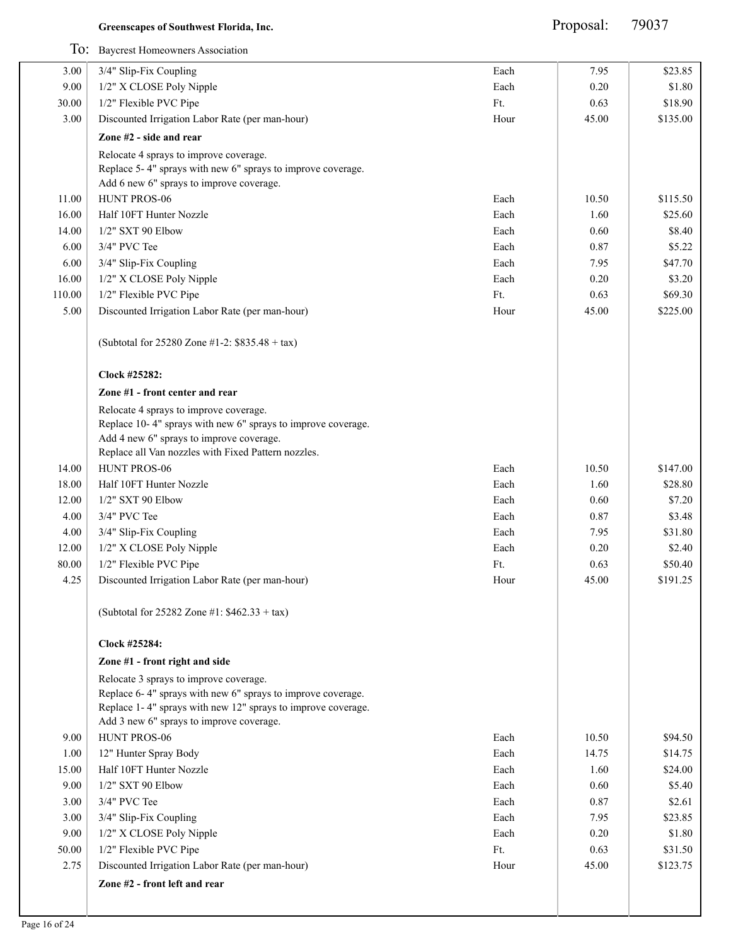|        | To: Baycrest Homeowners Association                                                                      |      |       |          |
|--------|----------------------------------------------------------------------------------------------------------|------|-------|----------|
| 3.00   | 3/4" Slip-Fix Coupling                                                                                   | Each | 7.95  | \$23.85  |
| 9.00   | 1/2" X CLOSE Poly Nipple                                                                                 | Each | 0.20  | \$1.80   |
| 30.00  | 1/2" Flexible PVC Pipe                                                                                   | Ft.  | 0.63  | \$18.90  |
| 3.00   | Discounted Irrigation Labor Rate (per man-hour)                                                          | Hour | 45.00 | \$135.00 |
|        | Zone #2 - side and rear                                                                                  |      |       |          |
|        | Relocate 4 sprays to improve coverage.                                                                   |      |       |          |
|        | Replace 5-4" sprays with new 6" sprays to improve coverage.                                              |      |       |          |
|        | Add 6 new 6" sprays to improve coverage.                                                                 |      |       |          |
| 11.00  | HUNT PROS-06                                                                                             | Each | 10.50 | \$115.50 |
| 16.00  | Half 10FT Hunter Nozzle                                                                                  | Each | 1.60  | \$25.60  |
| 14.00  | 1/2" SXT 90 Elbow                                                                                        | Each | 0.60  | \$8.40   |
| 6.00   | 3/4" PVC Tee                                                                                             | Each | 0.87  | \$5.22   |
| 6.00   | 3/4" Slip-Fix Coupling                                                                                   | Each | 7.95  | \$47.70  |
| 16.00  | 1/2" X CLOSE Poly Nipple                                                                                 | Each | 0.20  | \$3.20   |
| 110.00 | 1/2" Flexible PVC Pipe                                                                                   | Ft.  | 0.63  | \$69.30  |
| 5.00   | Discounted Irrigation Labor Rate (per man-hour)                                                          | Hour | 45.00 | \$225.00 |
|        | (Subtotal for 25280 Zone #1-2: \$835.48 + tax)                                                           |      |       |          |
|        | Clock #25282:                                                                                            |      |       |          |
|        | Zone #1 - front center and rear                                                                          |      |       |          |
|        | Relocate 4 sprays to improve coverage.                                                                   |      |       |          |
|        | Replace 10-4" sprays with new 6" sprays to improve coverage.                                             |      |       |          |
|        | Add 4 new 6" sprays to improve coverage.                                                                 |      |       |          |
|        | Replace all Van nozzles with Fixed Pattern nozzles.                                                      |      |       |          |
| 14.00  | HUNT PROS-06                                                                                             | Each | 10.50 | \$147.00 |
| 18.00  | Half 10FT Hunter Nozzle                                                                                  | Each | 1.60  | \$28.80  |
| 12.00  | 1/2" SXT 90 Elbow                                                                                        | Each | 0.60  | \$7.20   |
| 4.00   | 3/4" PVC Tee                                                                                             | Each | 0.87  | \$3.48   |
| 4.00   | 3/4" Slip-Fix Coupling                                                                                   | Each | 7.95  | \$31.80  |
| 12.00  | 1/2" X CLOSE Poly Nipple                                                                                 | Each | 0.20  | \$2.40   |
| 80.00  | 1/2" Flexible PVC Pipe                                                                                   | Ft.  | 0.63  | \$50.40  |
| 4.25   | Discounted Irrigation Labor Rate (per man-hour)                                                          | Hour | 45.00 | \$191.25 |
|        | (Subtotal for 25282 Zone #1: $$462.33 + tax$ )                                                           |      |       |          |
|        | Clock #25284:                                                                                            |      |       |          |
|        | Zone #1 - front right and side                                                                           |      |       |          |
|        | Relocate 3 sprays to improve coverage.                                                                   |      |       |          |
|        | Replace 6-4" sprays with new 6" sprays to improve coverage.                                              |      |       |          |
|        | Replace 1-4" sprays with new 12" sprays to improve coverage.<br>Add 3 new 6" sprays to improve coverage. |      |       |          |
| 9.00   | HUNT PROS-06                                                                                             | Each | 10.50 | \$94.50  |
| 1.00   | 12" Hunter Spray Body                                                                                    | Each | 14.75 | \$14.75  |
| 15.00  | Half 10FT Hunter Nozzle                                                                                  | Each | 1.60  | \$24.00  |
| 9.00   | $1/2$ " SXT 90 Elbow                                                                                     | Each | 0.60  | \$5.40   |
| 3.00   | 3/4" PVC Tee                                                                                             | Each | 0.87  | \$2.61   |
| 3.00   | 3/4" Slip-Fix Coupling                                                                                   | Each | 7.95  | \$23.85  |
| 9.00   | 1/2" X CLOSE Poly Nipple                                                                                 | Each | 0.20  | \$1.80   |
| 50.00  | 1/2" Flexible PVC Pipe                                                                                   | Ft.  | 0.63  | \$31.50  |
| 2.75   | Discounted Irrigation Labor Rate (per man-hour)                                                          | Hour | 45.00 | \$123.75 |
|        |                                                                                                          |      |       |          |
|        | Zone #2 - front left and rear                                                                            |      |       |          |
|        |                                                                                                          |      |       |          |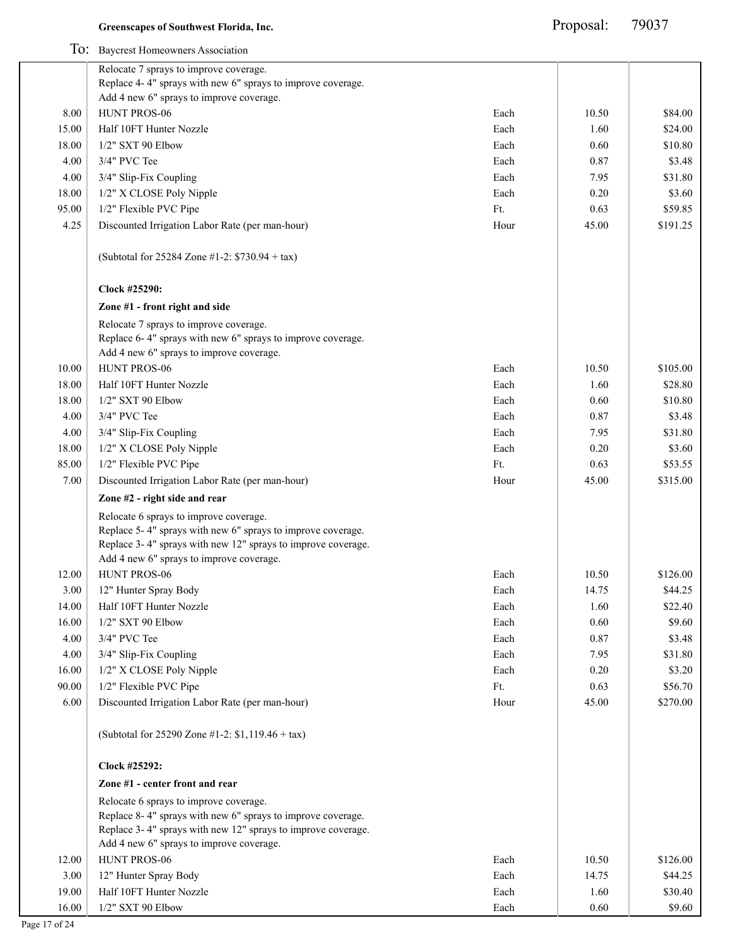|       | To: Baycrest Homeowners Association                                                                                                                                   |      |       |          |
|-------|-----------------------------------------------------------------------------------------------------------------------------------------------------------------------|------|-------|----------|
|       | Relocate 7 sprays to improve coverage.                                                                                                                                |      |       |          |
|       | Replace 4-4" sprays with new 6" sprays to improve coverage.                                                                                                           |      |       |          |
|       | Add 4 new 6" sprays to improve coverage.                                                                                                                              |      |       |          |
| 8.00  | HUNT PROS-06                                                                                                                                                          | Each | 10.50 | \$84.00  |
| 15.00 | Half 10FT Hunter Nozzle                                                                                                                                               | Each | 1.60  | \$24.00  |
| 18.00 | 1/2" SXT 90 Elbow                                                                                                                                                     | Each | 0.60  | \$10.80  |
| 4.00  | 3/4" PVC Tee                                                                                                                                                          | Each | 0.87  | \$3.48   |
| 4.00  | 3/4" Slip-Fix Coupling                                                                                                                                                | Each | 7.95  | \$31.80  |
| 18.00 | 1/2" X CLOSE Poly Nipple                                                                                                                                              | Each | 0.20  | \$3.60   |
| 95.00 | 1/2" Flexible PVC Pipe                                                                                                                                                | Ft.  | 0.63  | \$59.85  |
| 4.25  | Discounted Irrigation Labor Rate (per man-hour)                                                                                                                       | Hour | 45.00 | \$191.25 |
|       | (Subtotal for 25284 Zone #1-2: \$730.94 + tax)                                                                                                                        |      |       |          |
|       | Clock #25290:                                                                                                                                                         |      |       |          |
|       | Zone #1 - front right and side                                                                                                                                        |      |       |          |
|       | Relocate 7 sprays to improve coverage.<br>Replace 6-4" sprays with new 6" sprays to improve coverage.<br>Add 4 new 6" sprays to improve coverage.                     |      |       |          |
| 10.00 | HUNT PROS-06                                                                                                                                                          | Each | 10.50 | \$105.00 |
| 18.00 | Half 10FT Hunter Nozzle                                                                                                                                               | Each | 1.60  | \$28.80  |
| 18.00 | 1/2" SXT 90 Elbow                                                                                                                                                     | Each | 0.60  | \$10.80  |
| 4.00  | 3/4" PVC Tee                                                                                                                                                          | Each | 0.87  | \$3.48   |
| 4.00  | 3/4" Slip-Fix Coupling                                                                                                                                                | Each | 7.95  | \$31.80  |
| 18.00 | 1/2" X CLOSE Poly Nipple                                                                                                                                              | Each | 0.20  | \$3.60   |
| 85.00 | 1/2" Flexible PVC Pipe                                                                                                                                                | Ft.  | 0.63  | \$53.55  |
| 7.00  | Discounted Irrigation Labor Rate (per man-hour)                                                                                                                       | Hour | 45.00 | \$315.00 |
|       | Zone #2 - right side and rear                                                                                                                                         |      |       |          |
|       | Relocate 6 sprays to improve coverage.                                                                                                                                |      |       |          |
|       | Replace 5-4" sprays with new 6" sprays to improve coverage.                                                                                                           |      |       |          |
|       | Replace 3-4" sprays with new 12" sprays to improve coverage.                                                                                                          |      |       |          |
|       | Add 4 new 6" sprays to improve coverage.                                                                                                                              |      |       |          |
| 12.00 | <b>HUNT PROS-06</b>                                                                                                                                                   | Each | 10.50 | \$126.00 |
| 3.00  | 12" Hunter Spray Body                                                                                                                                                 | Each | 14.75 | \$44.25  |
| 14.00 | Half 10FT Hunter Nozzle                                                                                                                                               | Each | 1.60  | \$22.40  |
| 16.00 | 1/2" SXT 90 Elbow                                                                                                                                                     | Each | 0.60  | \$9.60   |
| 4.00  | 3/4" PVC Tee                                                                                                                                                          | Each | 0.87  | \$3.48   |
| 4.00  | 3/4" Slip-Fix Coupling                                                                                                                                                | Each | 7.95  | \$31.80  |
| 16.00 | 1/2" X CLOSE Poly Nipple                                                                                                                                              | Each | 0.20  | \$3.20   |
| 90.00 | 1/2" Flexible PVC Pipe                                                                                                                                                | Ft.  | 0.63  | \$56.70  |
| 6.00  | Discounted Irrigation Labor Rate (per man-hour)                                                                                                                       | Hour | 45.00 | \$270.00 |
|       | (Subtotal for 25290 Zone #1-2: \$1,119.46 + tax)                                                                                                                      |      |       |          |
|       | Clock #25292:                                                                                                                                                         |      |       |          |
|       | Zone #1 - center front and rear                                                                                                                                       |      |       |          |
|       | Relocate 6 sprays to improve coverage.<br>Replace 8-4" sprays with new 6" sprays to improve coverage.<br>Replace 3-4" sprays with new 12" sprays to improve coverage. |      |       |          |
|       | Add 4 new 6" sprays to improve coverage.                                                                                                                              |      |       |          |
| 12.00 | HUNT PROS-06                                                                                                                                                          | Each | 10.50 | \$126.00 |
| 3.00  | 12" Hunter Spray Body                                                                                                                                                 | Each | 14.75 | \$44.25  |
| 19.00 | Half 10FT Hunter Nozzle                                                                                                                                               | Each | 1.60  | \$30.40  |
| 16.00 | 1/2" SXT 90 Elbow                                                                                                                                                     | Each | 0.60  | \$9.60   |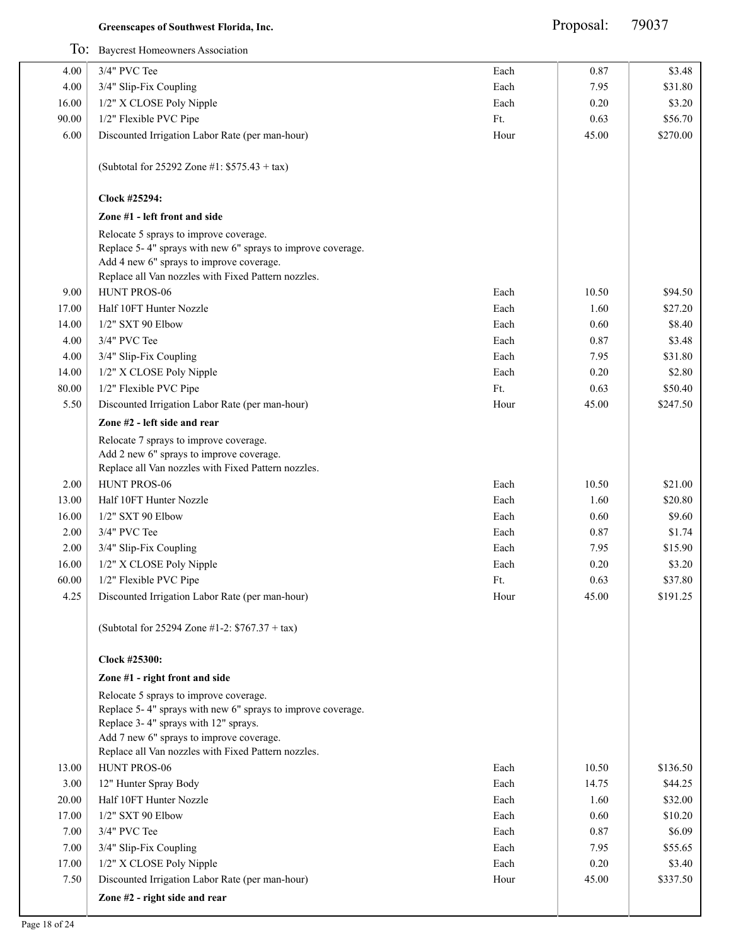Proposal: 79037

|       | To: Baycrest Homeowners Association                                                                                                                                                                                                              |      |       |          |
|-------|--------------------------------------------------------------------------------------------------------------------------------------------------------------------------------------------------------------------------------------------------|------|-------|----------|
| 4.00  | 3/4" PVC Tee                                                                                                                                                                                                                                     | Each | 0.87  | \$3.48   |
| 4.00  | 3/4" Slip-Fix Coupling                                                                                                                                                                                                                           | Each | 7.95  | \$31.80  |
| 16.00 | 1/2" X CLOSE Poly Nipple                                                                                                                                                                                                                         | Each | 0.20  | \$3.20   |
| 90.00 | 1/2" Flexible PVC Pipe                                                                                                                                                                                                                           | Ft.  | 0.63  | \$56.70  |
| 6.00  | Discounted Irrigation Labor Rate (per man-hour)                                                                                                                                                                                                  | Hour | 45.00 | \$270.00 |
|       | (Subtotal for 25292 Zone #1: $$575.43 + tax$ )                                                                                                                                                                                                   |      |       |          |
|       | Clock #25294:                                                                                                                                                                                                                                    |      |       |          |
|       | Zone #1 - left front and side                                                                                                                                                                                                                    |      |       |          |
|       | Relocate 5 sprays to improve coverage.<br>Replace 5-4" sprays with new 6" sprays to improve coverage.<br>Add 4 new 6" sprays to improve coverage.<br>Replace all Van nozzles with Fixed Pattern nozzles.                                         |      |       |          |
| 9.00  | HUNT PROS-06                                                                                                                                                                                                                                     | Each | 10.50 | \$94.50  |
| 17.00 | Half 10FT Hunter Nozzle                                                                                                                                                                                                                          | Each | 1.60  | \$27.20  |
| 14.00 | 1/2" SXT 90 Elbow                                                                                                                                                                                                                                | Each | 0.60  | \$8.40   |
| 4.00  | 3/4" PVC Tee                                                                                                                                                                                                                                     | Each | 0.87  | \$3.48   |
| 4.00  | 3/4" Slip-Fix Coupling                                                                                                                                                                                                                           | Each | 7.95  | \$31.80  |
| 14.00 | 1/2" X CLOSE Poly Nipple                                                                                                                                                                                                                         | Each | 0.20  | \$2.80   |
| 80.00 | 1/2" Flexible PVC Pipe                                                                                                                                                                                                                           | Ft.  | 0.63  | \$50.40  |
| 5.50  | Discounted Irrigation Labor Rate (per man-hour)                                                                                                                                                                                                  | Hour | 45.00 | \$247.50 |
|       | Zone #2 - left side and rear                                                                                                                                                                                                                     |      |       |          |
|       | Relocate 7 sprays to improve coverage.<br>Add 2 new 6" sprays to improve coverage.<br>Replace all Van nozzles with Fixed Pattern nozzles.                                                                                                        |      |       |          |
| 2.00  | HUNT PROS-06                                                                                                                                                                                                                                     | Each | 10.50 | \$21.00  |
| 13.00 | Half 10FT Hunter Nozzle                                                                                                                                                                                                                          | Each | 1.60  | \$20.80  |
| 16.00 | 1/2" SXT 90 Elbow                                                                                                                                                                                                                                | Each | 0.60  | \$9.60   |
| 2.00  | 3/4" PVC Tee                                                                                                                                                                                                                                     | Each | 0.87  | \$1.74   |
| 2.00  | 3/4" Slip-Fix Coupling                                                                                                                                                                                                                           | Each | 7.95  | \$15.90  |
| 16.00 | 1/2" X CLOSE Poly Nipple                                                                                                                                                                                                                         | Each | 0.20  | \$3.20   |
| 60.00 | 1/2" Flexible PVC Pipe                                                                                                                                                                                                                           | Ft.  | 0.63  | \$37.80  |
| 4.25  | Discounted Irrigation Labor Rate (per man-hour)                                                                                                                                                                                                  | Hour | 45.00 | \$191.25 |
|       | (Subtotal for 25294 Zone #1-2: $$767.37 + tax$ )                                                                                                                                                                                                 |      |       |          |
|       | Clock #25300:                                                                                                                                                                                                                                    |      |       |          |
|       | Zone #1 - right front and side                                                                                                                                                                                                                   |      |       |          |
|       | Relocate 5 sprays to improve coverage.<br>Replace 5-4" sprays with new 6" sprays to improve coverage.<br>Replace 3-4" sprays with 12" sprays.<br>Add 7 new 6" sprays to improve coverage.<br>Replace all Van nozzles with Fixed Pattern nozzles. |      |       |          |
| 13.00 | HUNT PROS-06                                                                                                                                                                                                                                     | Each | 10.50 | \$136.50 |
| 3.00  | 12" Hunter Spray Body                                                                                                                                                                                                                            | Each | 14.75 | \$44.25  |
| 20.00 | Half 10FT Hunter Nozzle                                                                                                                                                                                                                          | Each | 1.60  | \$32.00  |
| 17.00 | 1/2" SXT 90 Elbow                                                                                                                                                                                                                                | Each | 0.60  | \$10.20  |
| 7.00  | 3/4" PVC Tee                                                                                                                                                                                                                                     | Each | 0.87  | \$6.09   |
| 7.00  | 3/4" Slip-Fix Coupling                                                                                                                                                                                                                           | Each | 7.95  | \$55.65  |
| 17.00 | 1/2" X CLOSE Poly Nipple                                                                                                                                                                                                                         | Each | 0.20  | \$3.40   |
| 7.50  | Discounted Irrigation Labor Rate (per man-hour)                                                                                                                                                                                                  | Hour | 45.00 | \$337.50 |
|       | Zone #2 - right side and rear                                                                                                                                                                                                                    |      |       |          |
|       |                                                                                                                                                                                                                                                  |      |       |          |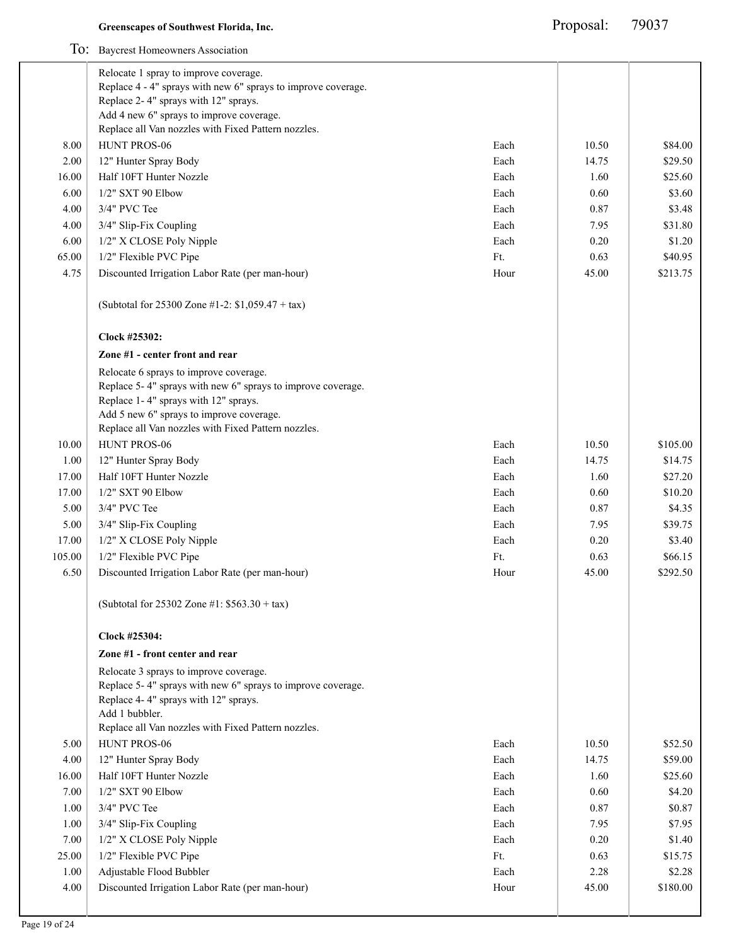|        | Relocate 1 spray to improve coverage.                                                                                                                                                     |      |       |                  |
|--------|-------------------------------------------------------------------------------------------------------------------------------------------------------------------------------------------|------|-------|------------------|
|        | Replace 4 - 4" sprays with new 6" sprays to improve coverage.                                                                                                                             |      |       |                  |
|        | Replace 2-4" sprays with 12" sprays.                                                                                                                                                      |      |       |                  |
|        | Add 4 new 6" sprays to improve coverage.                                                                                                                                                  |      |       |                  |
|        | Replace all Van nozzles with Fixed Pattern nozzles.                                                                                                                                       |      |       |                  |
| 8.00   | HUNT PROS-06                                                                                                                                                                              | Each | 10.50 | \$84.00          |
| 2.00   | 12" Hunter Spray Body                                                                                                                                                                     | Each | 14.75 | \$29.50          |
| 16.00  | Half 10FT Hunter Nozzle                                                                                                                                                                   | Each | 1.60  | \$25.60          |
| 6.00   | $1/2$ " SXT 90 Elbow                                                                                                                                                                      | Each | 0.60  | \$3.60           |
| 4.00   | 3/4" PVC Tee                                                                                                                                                                              | Each | 0.87  | \$3.48           |
| 4.00   | 3/4" Slip-Fix Coupling                                                                                                                                                                    | Each | 7.95  | \$31.80          |
| 6.00   | 1/2" X CLOSE Poly Nipple                                                                                                                                                                  | Each | 0.20  | \$1.20           |
| 65.00  | 1/2" Flexible PVC Pipe                                                                                                                                                                    | Ft.  | 0.63  | \$40.95          |
| 4.75   | Discounted Irrigation Labor Rate (per man-hour)                                                                                                                                           | Hour | 45.00 | \$213.75         |
|        | (Subtotal for 25300 Zone #1-2: \$1,059.47 + tax)                                                                                                                                          |      |       |                  |
|        | Clock #25302:                                                                                                                                                                             |      |       |                  |
|        | Zone #1 - center front and rear                                                                                                                                                           |      |       |                  |
|        | Relocate 6 sprays to improve coverage.<br>Replace 5-4" sprays with new 6" sprays to improve coverage.<br>Replace 1-4" sprays with 12" sprays.<br>Add 5 new 6" sprays to improve coverage. |      |       |                  |
|        | Replace all Van nozzles with Fixed Pattern nozzles.                                                                                                                                       |      |       |                  |
| 10.00  | HUNT PROS-06                                                                                                                                                                              | Each | 10.50 | \$105.00         |
| 1.00   | 12" Hunter Spray Body                                                                                                                                                                     | Each | 14.75 | \$14.75          |
| 17.00  | Half 10FT Hunter Nozzle                                                                                                                                                                   | Each | 1.60  | \$27.20          |
| 17.00  | 1/2" SXT 90 Elbow                                                                                                                                                                         | Each | 0.60  | \$10.20          |
| 5.00   | 3/4" PVC Tee                                                                                                                                                                              | Each | 0.87  | \$4.35           |
| 5.00   | 3/4" Slip-Fix Coupling                                                                                                                                                                    | Each | 7.95  | \$39.75          |
| 17.00  | 1/2" X CLOSE Poly Nipple                                                                                                                                                                  | Each | 0.20  | \$3.40           |
| 105.00 | 1/2" Flexible PVC Pipe                                                                                                                                                                    | Ft.  | 0.63  | \$66.15          |
| 6.50   | Discounted Irrigation Labor Rate (per man-hour)                                                                                                                                           | Hour | 45.00 | \$292.50         |
|        | (Subtotal for 25302 Zone #1: $$563.30 + tax$ )                                                                                                                                            |      |       |                  |
|        | Clock #25304:                                                                                                                                                                             |      |       |                  |
|        | Zone #1 - front center and rear                                                                                                                                                           |      |       |                  |
|        | Relocate 3 sprays to improve coverage.<br>Replace 5-4" sprays with new 6" sprays to improve coverage.<br>Replace 4-4" sprays with 12" sprays.<br>Add 1 bubbler.                           |      |       |                  |
|        | Replace all Van nozzles with Fixed Pattern nozzles.                                                                                                                                       |      |       |                  |
| 5.00   | HUNT PROS-06                                                                                                                                                                              | Each | 10.50 | \$52.50          |
| 4.00   | 12" Hunter Spray Body                                                                                                                                                                     | Each | 14.75 | \$59.00          |
| 16.00  | Half 10FT Hunter Nozzle                                                                                                                                                                   | Each | 1.60  | \$25.60          |
|        | 1/2" SXT 90 Elbow                                                                                                                                                                         | Each | 0.60  | \$4.20           |
| 7.00   |                                                                                                                                                                                           |      |       | \$0.87           |
| 1.00   | 3/4" PVC Tee                                                                                                                                                                              | Each | 0.87  |                  |
| 1.00   | 3/4" Slip-Fix Coupling                                                                                                                                                                    | Each | 7.95  |                  |
| 7.00   | 1/2" X CLOSE Poly Nipple                                                                                                                                                                  | Each | 0.20  | \$7.95<br>\$1.40 |
| 25.00  | 1/2" Flexible PVC Pipe                                                                                                                                                                    | Ft.  | 0.63  | \$15.75          |
| 1.00   | Adjustable Flood Bubbler                                                                                                                                                                  | Each | 2.28  | \$2.28           |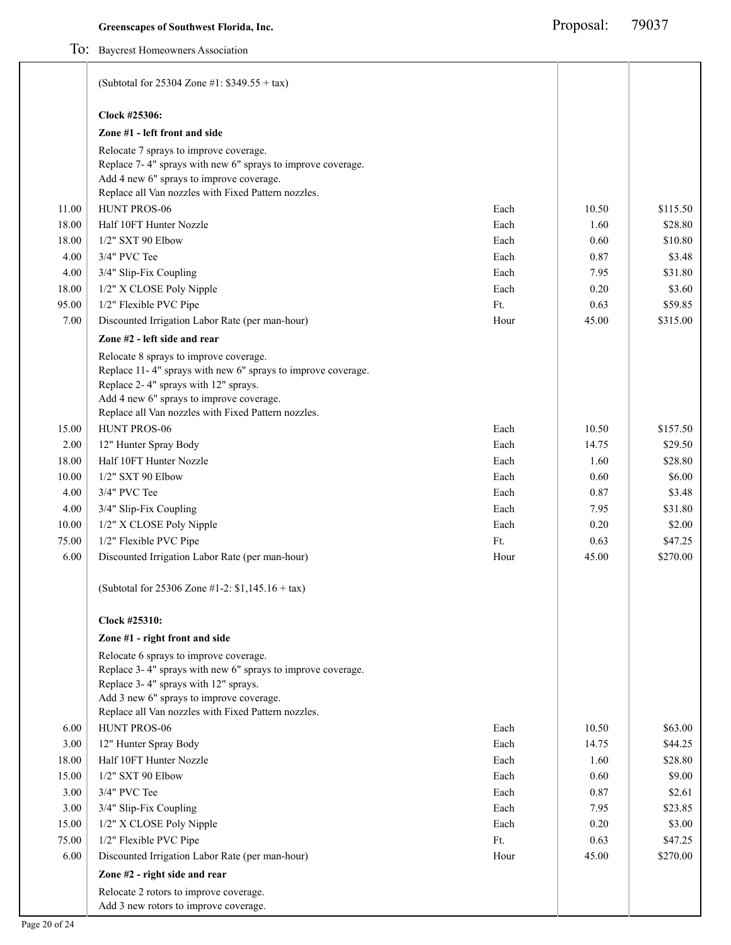|       | (Subtotal for 25304 Zone #1: $$349.55 + tax$ )                                                                                                                                                                                                    |      |       |          |
|-------|---------------------------------------------------------------------------------------------------------------------------------------------------------------------------------------------------------------------------------------------------|------|-------|----------|
|       | Clock #25306:                                                                                                                                                                                                                                     |      |       |          |
|       | Zone #1 - left front and side                                                                                                                                                                                                                     |      |       |          |
|       | Relocate 7 sprays to improve coverage.<br>Replace 7-4" sprays with new 6" sprays to improve coverage.<br>Add 4 new 6" sprays to improve coverage.                                                                                                 |      |       |          |
|       | Replace all Van nozzles with Fixed Pattern nozzles.                                                                                                                                                                                               |      |       |          |
| 11.00 | HUNT PROS-06                                                                                                                                                                                                                                      | Each | 10.50 | \$115.50 |
| 18.00 | Half 10FT Hunter Nozzle                                                                                                                                                                                                                           | Each | 1.60  | \$28.80  |
| 18.00 | 1/2" SXT 90 Elbow                                                                                                                                                                                                                                 | Each | 0.60  | \$10.80  |
| 4.00  | 3/4" PVC Tee                                                                                                                                                                                                                                      | Each | 0.87  | \$3.48   |
| 4.00  | 3/4" Slip-Fix Coupling                                                                                                                                                                                                                            | Each | 7.95  | \$31.80  |
| 18.00 | 1/2" X CLOSE Poly Nipple                                                                                                                                                                                                                          | Each | 0.20  | \$3.60   |
| 95.00 | 1/2" Flexible PVC Pipe                                                                                                                                                                                                                            | Ft.  | 0.63  | \$59.85  |
| 7.00  | Discounted Irrigation Labor Rate (per man-hour)                                                                                                                                                                                                   | Hour | 45.00 | \$315.00 |
|       | Zone #2 - left side and rear                                                                                                                                                                                                                      |      |       |          |
|       | Relocate 8 sprays to improve coverage.<br>Replace 11-4" sprays with new 6" sprays to improve coverage.<br>Replace 2-4" sprays with 12" sprays.<br>Add 4 new 6" sprays to improve coverage.<br>Replace all Van nozzles with Fixed Pattern nozzles. |      |       |          |
| 15.00 | HUNT PROS-06                                                                                                                                                                                                                                      | Each | 10.50 | \$157.50 |
| 2.00  | 12" Hunter Spray Body                                                                                                                                                                                                                             | Each | 14.75 | \$29.50  |
| 18.00 | Half 10FT Hunter Nozzle                                                                                                                                                                                                                           | Each | 1.60  | \$28.80  |
| 10.00 | 1/2" SXT 90 Elbow                                                                                                                                                                                                                                 | Each | 0.60  | \$6.00   |
| 4.00  | 3/4" PVC Tee                                                                                                                                                                                                                                      | Each | 0.87  | \$3.48   |
| 4.00  | 3/4" Slip-Fix Coupling                                                                                                                                                                                                                            | Each | 7.95  | \$31.80  |
| 10.00 | 1/2" X CLOSE Poly Nipple                                                                                                                                                                                                                          | Each | 0.20  | \$2.00   |
| 75.00 | 1/2" Flexible PVC Pipe                                                                                                                                                                                                                            | Ft.  | 0.63  | \$47.25  |
| 6.00  | Discounted Irrigation Labor Rate (per man-hour)                                                                                                                                                                                                   | Hour | 45.00 | \$270.00 |
|       | (Subtotal for 25306 Zone #1-2: $$1,145.16 + tax$ )                                                                                                                                                                                                |      |       |          |
|       | Clock #25310:                                                                                                                                                                                                                                     |      |       |          |
|       | Zone #1 - right front and side                                                                                                                                                                                                                    |      |       |          |
|       | Relocate 6 sprays to improve coverage.<br>Replace 3-4" sprays with new 6" sprays to improve coverage.<br>Replace 3-4" sprays with 12" sprays.<br>Add 3 new 6" sprays to improve coverage.<br>Replace all Van nozzles with Fixed Pattern nozzles.  |      |       |          |
| 6.00  | HUNT PROS-06                                                                                                                                                                                                                                      | Each | 10.50 | \$63.00  |
| 3.00  | 12" Hunter Spray Body                                                                                                                                                                                                                             | Each | 14.75 | \$44.25  |
| 18.00 | Half 10FT Hunter Nozzle                                                                                                                                                                                                                           | Each | 1.60  | \$28.80  |
| 15.00 | 1/2" SXT 90 Elbow                                                                                                                                                                                                                                 | Each | 0.60  | \$9.00   |
| 3.00  | 3/4" PVC Tee                                                                                                                                                                                                                                      | Each | 0.87  | \$2.61   |
| 3.00  | 3/4" Slip-Fix Coupling                                                                                                                                                                                                                            | Each | 7.95  | \$23.85  |
| 15.00 | 1/2" X CLOSE Poly Nipple                                                                                                                                                                                                                          | Each | 0.20  | \$3.00   |
| 75.00 | 1/2" Flexible PVC Pipe                                                                                                                                                                                                                            | Ft.  | 0.63  | \$47.25  |
| 6.00  | Discounted Irrigation Labor Rate (per man-hour)                                                                                                                                                                                                   | Hour | 45.00 | \$270.00 |
|       | Zone #2 - right side and rear                                                                                                                                                                                                                     |      |       |          |
|       | Relocate 2 rotors to improve coverage.<br>Add 3 new rotors to improve coverage.                                                                                                                                                                   |      |       |          |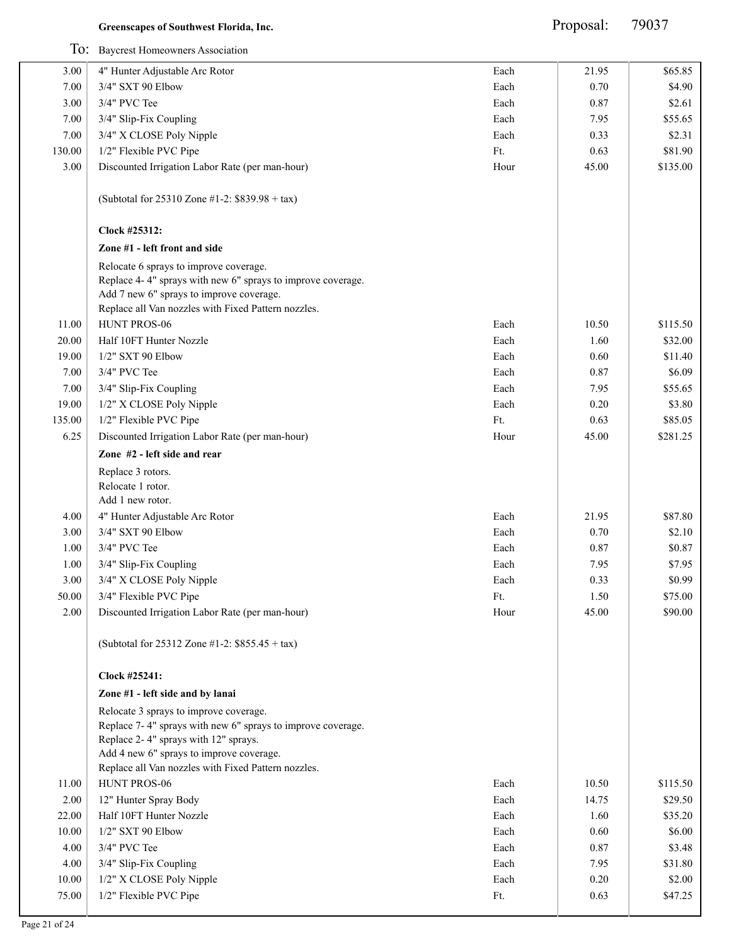Proposal: 79037

| Each<br>3.00<br>4" Hunter Adjustable Arc Rotor<br>21.95<br>3/4" SXT 90 Elbow<br>Each<br>0.70<br>7.00<br>3.00<br>3/4" PVC Tee<br>Each<br>0.87<br>7.00<br>3/4" Slip-Fix Coupling<br>Each<br>7.95<br>7.00<br>3/4" X CLOSE Poly Nipple<br>Each<br>0.33<br>Ft.<br>130.00<br>1/2" Flexible PVC Pipe<br>0.63<br>3.00<br>Discounted Irrigation Labor Rate (per man-hour)<br>Hour<br>45.00<br>(Subtotal for 25310 Zone #1-2: \$839.98 + tax)<br>Clock #25312:<br>Zone #1 - left front and side<br>Relocate 6 sprays to improve coverage.<br>Replace 4-4" sprays with new 6" sprays to improve coverage.<br>Add 7 new 6" sprays to improve coverage.<br>Replace all Van nozzles with Fixed Pattern nozzles.<br>HUNT PROS-06<br>Each<br>11.00<br>10.50<br>20.00<br>Half 10FT Hunter Nozzle<br>Each<br>1.60<br>19.00<br>1/2" SXT 90 Elbow<br>Each<br>0.60<br>3/4" PVC Tee<br>7.00<br>Each<br>0.87<br>7.00<br>3/4" Slip-Fix Coupling<br>Each<br>7.95<br>19.00<br>1/2" X CLOSE Poly Nipple<br>Each<br>0.20<br>135.00<br>1/2" Flexible PVC Pipe<br>Ft.<br>0.63 | \$65.85<br>\$4.90<br>\$2.61<br>\$55.65<br>\$2.31<br>\$81.90<br>\$135.00<br>\$115.50<br>\$32.00<br>\$11.40<br>\$6.09<br>\$55.65<br>\$3.80 |
|-------------------------------------------------------------------------------------------------------------------------------------------------------------------------------------------------------------------------------------------------------------------------------------------------------------------------------------------------------------------------------------------------------------------------------------------------------------------------------------------------------------------------------------------------------------------------------------------------------------------------------------------------------------------------------------------------------------------------------------------------------------------------------------------------------------------------------------------------------------------------------------------------------------------------------------------------------------------------------------------------------------------------------------------------|------------------------------------------------------------------------------------------------------------------------------------------|
|                                                                                                                                                                                                                                                                                                                                                                                                                                                                                                                                                                                                                                                                                                                                                                                                                                                                                                                                                                                                                                                 |                                                                                                                                          |
|                                                                                                                                                                                                                                                                                                                                                                                                                                                                                                                                                                                                                                                                                                                                                                                                                                                                                                                                                                                                                                                 |                                                                                                                                          |
|                                                                                                                                                                                                                                                                                                                                                                                                                                                                                                                                                                                                                                                                                                                                                                                                                                                                                                                                                                                                                                                 |                                                                                                                                          |
|                                                                                                                                                                                                                                                                                                                                                                                                                                                                                                                                                                                                                                                                                                                                                                                                                                                                                                                                                                                                                                                 |                                                                                                                                          |
|                                                                                                                                                                                                                                                                                                                                                                                                                                                                                                                                                                                                                                                                                                                                                                                                                                                                                                                                                                                                                                                 |                                                                                                                                          |
|                                                                                                                                                                                                                                                                                                                                                                                                                                                                                                                                                                                                                                                                                                                                                                                                                                                                                                                                                                                                                                                 |                                                                                                                                          |
|                                                                                                                                                                                                                                                                                                                                                                                                                                                                                                                                                                                                                                                                                                                                                                                                                                                                                                                                                                                                                                                 |                                                                                                                                          |
|                                                                                                                                                                                                                                                                                                                                                                                                                                                                                                                                                                                                                                                                                                                                                                                                                                                                                                                                                                                                                                                 |                                                                                                                                          |
|                                                                                                                                                                                                                                                                                                                                                                                                                                                                                                                                                                                                                                                                                                                                                                                                                                                                                                                                                                                                                                                 |                                                                                                                                          |
|                                                                                                                                                                                                                                                                                                                                                                                                                                                                                                                                                                                                                                                                                                                                                                                                                                                                                                                                                                                                                                                 |                                                                                                                                          |
|                                                                                                                                                                                                                                                                                                                                                                                                                                                                                                                                                                                                                                                                                                                                                                                                                                                                                                                                                                                                                                                 |                                                                                                                                          |
|                                                                                                                                                                                                                                                                                                                                                                                                                                                                                                                                                                                                                                                                                                                                                                                                                                                                                                                                                                                                                                                 |                                                                                                                                          |
|                                                                                                                                                                                                                                                                                                                                                                                                                                                                                                                                                                                                                                                                                                                                                                                                                                                                                                                                                                                                                                                 |                                                                                                                                          |
|                                                                                                                                                                                                                                                                                                                                                                                                                                                                                                                                                                                                                                                                                                                                                                                                                                                                                                                                                                                                                                                 |                                                                                                                                          |
|                                                                                                                                                                                                                                                                                                                                                                                                                                                                                                                                                                                                                                                                                                                                                                                                                                                                                                                                                                                                                                                 |                                                                                                                                          |
|                                                                                                                                                                                                                                                                                                                                                                                                                                                                                                                                                                                                                                                                                                                                                                                                                                                                                                                                                                                                                                                 |                                                                                                                                          |
|                                                                                                                                                                                                                                                                                                                                                                                                                                                                                                                                                                                                                                                                                                                                                                                                                                                                                                                                                                                                                                                 |                                                                                                                                          |
|                                                                                                                                                                                                                                                                                                                                                                                                                                                                                                                                                                                                                                                                                                                                                                                                                                                                                                                                                                                                                                                 | \$85.05                                                                                                                                  |
| 6.25<br>Discounted Irrigation Labor Rate (per man-hour)<br>Hour<br>45.00                                                                                                                                                                                                                                                                                                                                                                                                                                                                                                                                                                                                                                                                                                                                                                                                                                                                                                                                                                        | \$281.25                                                                                                                                 |
| Zone #2 - left side and rear                                                                                                                                                                                                                                                                                                                                                                                                                                                                                                                                                                                                                                                                                                                                                                                                                                                                                                                                                                                                                    |                                                                                                                                          |
| Replace 3 rotors.<br>Relocate 1 rotor.<br>Add 1 new rotor.                                                                                                                                                                                                                                                                                                                                                                                                                                                                                                                                                                                                                                                                                                                                                                                                                                                                                                                                                                                      |                                                                                                                                          |
| 4" Hunter Adjustable Arc Rotor<br>Each<br>21.95<br>4.00                                                                                                                                                                                                                                                                                                                                                                                                                                                                                                                                                                                                                                                                                                                                                                                                                                                                                                                                                                                         | \$87.80                                                                                                                                  |
| 3.00<br>3/4" SXT 90 Elbow<br>Each<br>0.70                                                                                                                                                                                                                                                                                                                                                                                                                                                                                                                                                                                                                                                                                                                                                                                                                                                                                                                                                                                                       | \$2.10                                                                                                                                   |
| 3/4" PVC Tee<br>Each<br>0.87<br>1.00                                                                                                                                                                                                                                                                                                                                                                                                                                                                                                                                                                                                                                                                                                                                                                                                                                                                                                                                                                                                            | \$0.87                                                                                                                                   |
| 1.00<br>3/4" Slip-Fix Coupling<br>Each<br>7.95                                                                                                                                                                                                                                                                                                                                                                                                                                                                                                                                                                                                                                                                                                                                                                                                                                                                                                                                                                                                  | \$7.95                                                                                                                                   |
| 3.00<br>3/4" X CLOSE Poly Nipple<br>Each<br>0.33                                                                                                                                                                                                                                                                                                                                                                                                                                                                                                                                                                                                                                                                                                                                                                                                                                                                                                                                                                                                | \$0.99                                                                                                                                   |
| 50.00<br>3/4" Flexible PVC Pipe<br>Ft.<br>1.50                                                                                                                                                                                                                                                                                                                                                                                                                                                                                                                                                                                                                                                                                                                                                                                                                                                                                                                                                                                                  | \$75.00                                                                                                                                  |
| Discounted Irrigation Labor Rate (per man-hour)<br>2.00<br>Hour<br>45.00                                                                                                                                                                                                                                                                                                                                                                                                                                                                                                                                                                                                                                                                                                                                                                                                                                                                                                                                                                        | \$90.00                                                                                                                                  |
| (Subtotal for 25312 Zone #1-2: \$855.45 + tax)                                                                                                                                                                                                                                                                                                                                                                                                                                                                                                                                                                                                                                                                                                                                                                                                                                                                                                                                                                                                  |                                                                                                                                          |
| Clock #25241:                                                                                                                                                                                                                                                                                                                                                                                                                                                                                                                                                                                                                                                                                                                                                                                                                                                                                                                                                                                                                                   |                                                                                                                                          |
| Zone #1 - left side and by lanai                                                                                                                                                                                                                                                                                                                                                                                                                                                                                                                                                                                                                                                                                                                                                                                                                                                                                                                                                                                                                |                                                                                                                                          |
| Relocate 3 sprays to improve coverage.<br>Replace 7-4" sprays with new 6" sprays to improve coverage.<br>Replace 2-4" sprays with 12" sprays.<br>Add 4 new 6" sprays to improve coverage.<br>Replace all Van nozzles with Fixed Pattern nozzles.                                                                                                                                                                                                                                                                                                                                                                                                                                                                                                                                                                                                                                                                                                                                                                                                |                                                                                                                                          |
| HUNT PROS-06<br>11.00<br>Each<br>10.50                                                                                                                                                                                                                                                                                                                                                                                                                                                                                                                                                                                                                                                                                                                                                                                                                                                                                                                                                                                                          | \$115.50                                                                                                                                 |
| 2.00<br>12" Hunter Spray Body<br>Each<br>14.75                                                                                                                                                                                                                                                                                                                                                                                                                                                                                                                                                                                                                                                                                                                                                                                                                                                                                                                                                                                                  | \$29.50                                                                                                                                  |
| Half 10FT Hunter Nozzle<br>22.00<br>Each<br>1.60                                                                                                                                                                                                                                                                                                                                                                                                                                                                                                                                                                                                                                                                                                                                                                                                                                                                                                                                                                                                | \$35.20                                                                                                                                  |
| 10.00<br>1/2" SXT 90 Elbow<br>Each<br>0.60                                                                                                                                                                                                                                                                                                                                                                                                                                                                                                                                                                                                                                                                                                                                                                                                                                                                                                                                                                                                      | \$6.00                                                                                                                                   |
| 4.00<br>3/4" PVC Tee<br>Each<br>0.87                                                                                                                                                                                                                                                                                                                                                                                                                                                                                                                                                                                                                                                                                                                                                                                                                                                                                                                                                                                                            | \$3.48                                                                                                                                   |
| 4.00<br>3/4" Slip-Fix Coupling<br>Each<br>7.95                                                                                                                                                                                                                                                                                                                                                                                                                                                                                                                                                                                                                                                                                                                                                                                                                                                                                                                                                                                                  | \$31.80                                                                                                                                  |
| 1/2" X CLOSE Poly Nipple<br>10.00<br>Each<br>0.20                                                                                                                                                                                                                                                                                                                                                                                                                                                                                                                                                                                                                                                                                                                                                                                                                                                                                                                                                                                               | \$2.00                                                                                                                                   |
| 1/2" Flexible PVC Pipe<br>75.00<br>Ft.<br>0.63                                                                                                                                                                                                                                                                                                                                                                                                                                                                                                                                                                                                                                                                                                                                                                                                                                                                                                                                                                                                  | \$47.25                                                                                                                                  |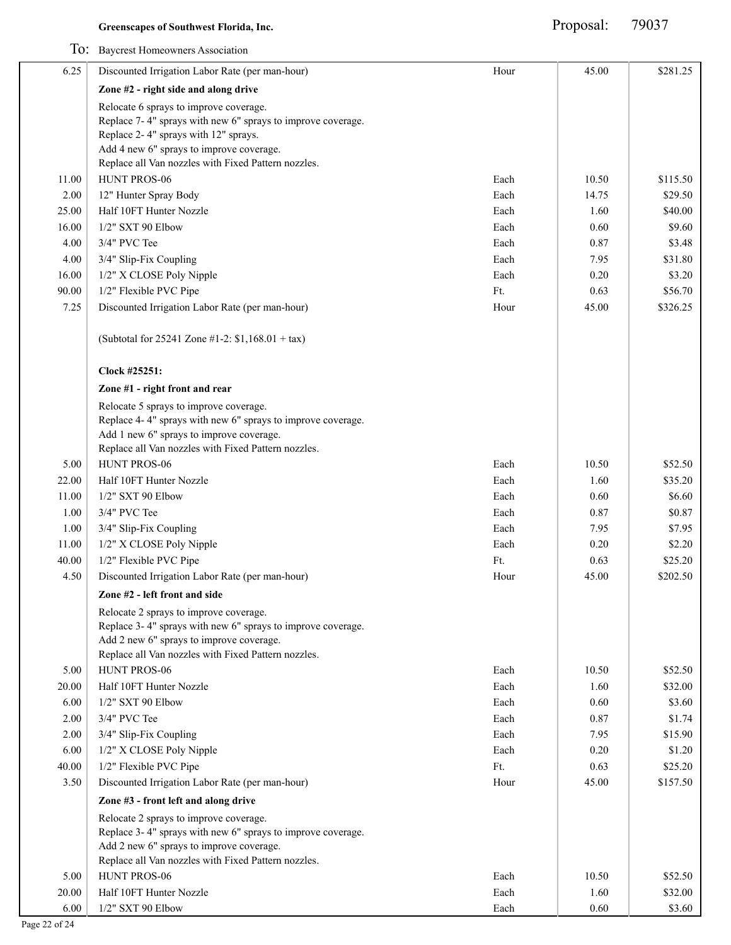|       | To: Baycrest Homeowners Association                                                                     |      |       |          |
|-------|---------------------------------------------------------------------------------------------------------|------|-------|----------|
| 6.25  | Discounted Irrigation Labor Rate (per man-hour)                                                         | Hour | 45.00 | \$281.25 |
|       | Zone #2 - right side and along drive                                                                    |      |       |          |
|       | Relocate 6 sprays to improve coverage.                                                                  |      |       |          |
|       | Replace 7-4" sprays with new 6" sprays to improve coverage.                                             |      |       |          |
|       | Replace 2-4" sprays with 12" sprays.                                                                    |      |       |          |
|       | Add 4 new 6" sprays to improve coverage.                                                                |      |       |          |
|       | Replace all Van nozzles with Fixed Pattern nozzles.                                                     |      |       |          |
| 11.00 | HUNT PROS-06                                                                                            | Each | 10.50 | \$115.50 |
| 2.00  | 12" Hunter Spray Body                                                                                   | Each | 14.75 | \$29.50  |
| 25.00 | Half 10FT Hunter Nozzle                                                                                 | Each | 1.60  | \$40.00  |
| 16.00 | 1/2" SXT 90 Elbow                                                                                       | Each | 0.60  | \$9.60   |
| 4.00  | 3/4" PVC Tee                                                                                            | Each | 0.87  | \$3.48   |
| 4.00  | 3/4" Slip-Fix Coupling                                                                                  | Each | 7.95  | \$31.80  |
| 16.00 | 1/2" X CLOSE Poly Nipple                                                                                | Each | 0.20  | \$3.20   |
| 90.00 | 1/2" Flexible PVC Pipe                                                                                  | Ft.  | 0.63  | \$56.70  |
| 7.25  | Discounted Irrigation Labor Rate (per man-hour)                                                         | Hour | 45.00 | \$326.25 |
|       | (Subtotal for 25241 Zone #1-2: $$1,168.01 + tax$ )                                                      |      |       |          |
|       | Clock #25251:                                                                                           |      |       |          |
|       | Zone #1 - right front and rear                                                                          |      |       |          |
|       | Relocate 5 sprays to improve coverage.                                                                  |      |       |          |
|       | Replace 4-4" sprays with new 6" sprays to improve coverage.                                             |      |       |          |
|       | Add 1 new 6" sprays to improve coverage.<br>Replace all Van nozzles with Fixed Pattern nozzles.         |      |       |          |
| 5.00  | HUNT PROS-06                                                                                            | Each | 10.50 | \$52.50  |
| 22.00 | Half 10FT Hunter Nozzle                                                                                 | Each | 1.60  | \$35.20  |
| 11.00 | 1/2" SXT 90 Elbow                                                                                       | Each | 0.60  | \$6.60   |
| 1.00  | 3/4" PVC Tee                                                                                            | Each | 0.87  | \$0.87   |
| 1.00  | 3/4" Slip-Fix Coupling                                                                                  | Each | 7.95  | \$7.95   |
| 11.00 | 1/2" X CLOSE Poly Nipple                                                                                | Each | 0.20  | \$2.20   |
| 40.00 | 1/2" Flexible PVC Pipe                                                                                  | Ft.  | 0.63  | \$25.20  |
| 4.50  |                                                                                                         | Hour | 45.00 | \$202.50 |
|       | Discounted Irrigation Labor Rate (per man-hour)                                                         |      |       |          |
|       | Zone #2 - left front and side                                                                           |      |       |          |
|       | Relocate 2 sprays to improve coverage.                                                                  |      |       |          |
|       | Replace 3-4" sprays with new 6" sprays to improve coverage.<br>Add 2 new 6" sprays to improve coverage. |      |       |          |
|       | Replace all Van nozzles with Fixed Pattern nozzles.                                                     |      |       |          |
| 5.00  | HUNT PROS-06                                                                                            | Each | 10.50 | \$52.50  |
| 20.00 | Half 10FT Hunter Nozzle                                                                                 | Each | 1.60  | \$32.00  |
| 6.00  | 1/2" SXT 90 Elbow                                                                                       | Each | 0.60  | \$3.60   |
| 2.00  | 3/4" PVC Tee                                                                                            | Each | 0.87  | \$1.74   |
| 2.00  | 3/4" Slip-Fix Coupling                                                                                  | Each | 7.95  | \$15.90  |
| 6.00  | 1/2" X CLOSE Poly Nipple                                                                                | Each | 0.20  | \$1.20   |
| 40.00 | 1/2" Flexible PVC Pipe                                                                                  | Ft.  | 0.63  | \$25.20  |
| 3.50  | Discounted Irrigation Labor Rate (per man-hour)                                                         | Hour | 45.00 | \$157.50 |
|       | Zone #3 - front left and along drive                                                                    |      |       |          |
|       | Relocate 2 sprays to improve coverage.                                                                  |      |       |          |
|       | Replace 3-4" sprays with new 6" sprays to improve coverage.                                             |      |       |          |
|       | Add 2 new 6" sprays to improve coverage.                                                                |      |       |          |
|       | Replace all Van nozzles with Fixed Pattern nozzles.                                                     |      |       |          |
| 5.00  | HUNT PROS-06                                                                                            | Each | 10.50 | \$52.50  |
| 20.00 | Half 10FT Hunter Nozzle                                                                                 | Each | 1.60  | \$32.00  |
| 6.00  | 1/2" SXT 90 Elbow                                                                                       | Each | 0.60  | \$3.60   |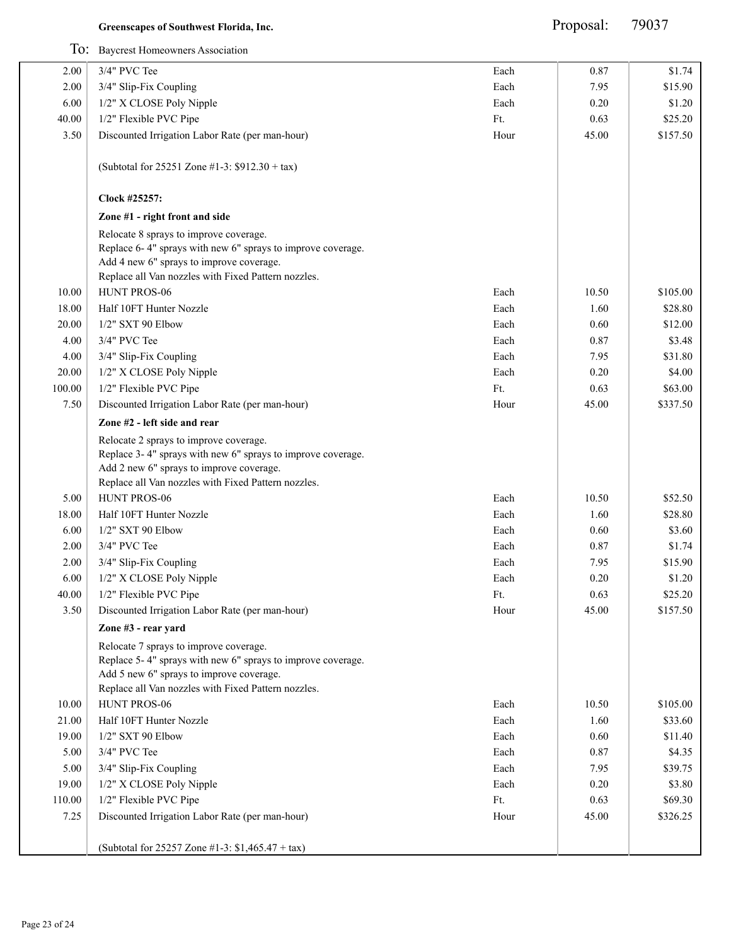Proposal: 79037

|                | To: Baycrest Homeowners Association                                                                                                                                                                      |      |          |          |
|----------------|----------------------------------------------------------------------------------------------------------------------------------------------------------------------------------------------------------|------|----------|----------|
| 2.00           | 3/4" PVC Tee                                                                                                                                                                                             | Each | 0.87     | \$1.74   |
| 2.00           | 3/4" Slip-Fix Coupling                                                                                                                                                                                   | Each | 7.95     | \$15.90  |
| 6.00           | 1/2" X CLOSE Poly Nipple                                                                                                                                                                                 | Each | 0.20     | \$1.20   |
| 40.00          | 1/2" Flexible PVC Pipe                                                                                                                                                                                   | Ft.  | 0.63     | \$25.20  |
| 3.50           | Discounted Irrigation Labor Rate (per man-hour)                                                                                                                                                          | Hour | 45.00    | \$157.50 |
|                | (Subtotal for 25251 Zone #1-3: $$912.30 + tax$ )                                                                                                                                                         |      |          |          |
|                | Clock #25257:                                                                                                                                                                                            |      |          |          |
|                | Zone #1 - right front and side                                                                                                                                                                           |      |          |          |
|                | Relocate 8 sprays to improve coverage.<br>Replace 6-4" sprays with new 6" sprays to improve coverage.<br>Add 4 new 6" sprays to improve coverage.<br>Replace all Van nozzles with Fixed Pattern nozzles. |      |          |          |
| 10.00          | HUNT PROS-06                                                                                                                                                                                             | Each | 10.50    | \$105.00 |
| 18.00          | Half 10FT Hunter Nozzle                                                                                                                                                                                  | Each | 1.60     | \$28.80  |
| 20.00          | 1/2" SXT 90 Elbow                                                                                                                                                                                        | Each | 0.60     | \$12.00  |
| 4.00           | 3/4" PVC Tee                                                                                                                                                                                             | Each | 0.87     | \$3.48   |
| 4.00           | 3/4" Slip-Fix Coupling                                                                                                                                                                                   | Each | 7.95     | \$31.80  |
| 20.00          | 1/2" X CLOSE Poly Nipple                                                                                                                                                                                 | Each | 0.20     | \$4.00   |
| 100.00         | 1/2" Flexible PVC Pipe                                                                                                                                                                                   | Ft.  | 0.63     | \$63.00  |
| 7.50           | Discounted Irrigation Labor Rate (per man-hour)                                                                                                                                                          | Hour | 45.00    | \$337.50 |
|                | Zone #2 - left side and rear                                                                                                                                                                             |      |          |          |
|                | Relocate 2 sprays to improve coverage.<br>Replace 3-4" sprays with new 6" sprays to improve coverage.<br>Add 2 new 6" sprays to improve coverage.<br>Replace all Van nozzles with Fixed Pattern nozzles. |      |          |          |
| 5.00           | HUNT PROS-06                                                                                                                                                                                             | Each | 10.50    | \$52.50  |
| 18.00          | Half 10FT Hunter Nozzle                                                                                                                                                                                  | Each | 1.60     | \$28.80  |
| 6.00           | 1/2" SXT 90 Elbow                                                                                                                                                                                        | Each | 0.60     | \$3.60   |
| 2.00           | 3/4" PVC Tee                                                                                                                                                                                             | Each | 0.87     | \$1.74   |
| 2.00           | 3/4" Slip-Fix Coupling                                                                                                                                                                                   | Each | 7.95     | \$15.90  |
| 6.00           | 1/2" X CLOSE Poly Nipple                                                                                                                                                                                 | Each | $0.20\,$ | \$1.20   |
| 40.00          | 1/2" Flexible PVC Pipe                                                                                                                                                                                   | Ft.  | 0.63     | \$25.20  |
| 3.50           | Discounted Irrigation Labor Rate (per man-hour)                                                                                                                                                          | Hour | 45.00    | \$157.50 |
|                | Zone #3 - rear yard                                                                                                                                                                                      |      |          |          |
|                | Relocate 7 sprays to improve coverage.<br>Replace 5-4" sprays with new 6" sprays to improve coverage.<br>Add 5 new 6" sprays to improve coverage.<br>Replace all Van nozzles with Fixed Pattern nozzles. |      |          |          |
| 10.00          | HUNT PROS-06                                                                                                                                                                                             | Each | 10.50    | \$105.00 |
| 21.00          | Half 10FT Hunter Nozzle                                                                                                                                                                                  | Each | 1.60     | \$33.60  |
| 19.00          | 1/2" SXT 90 Elbow                                                                                                                                                                                        | Each | 0.60     | \$11.40  |
| 5.00           | 3/4" PVC Tee                                                                                                                                                                                             | Each | 0.87     | \$4.35   |
| 5.00           | 3/4" Slip-Fix Coupling                                                                                                                                                                                   | Each | 7.95     | \$39.75  |
| 19.00          | 1/2" X CLOSE Poly Nipple                                                                                                                                                                                 | Each | 0.20     | \$3.80   |
|                | 1/2" Flexible PVC Pipe                                                                                                                                                                                   | Ft.  | 0.63     | \$69.30  |
| 110.00<br>7.25 | Discounted Irrigation Labor Rate (per man-hour)                                                                                                                                                          | Hour | 45.00    | \$326.25 |